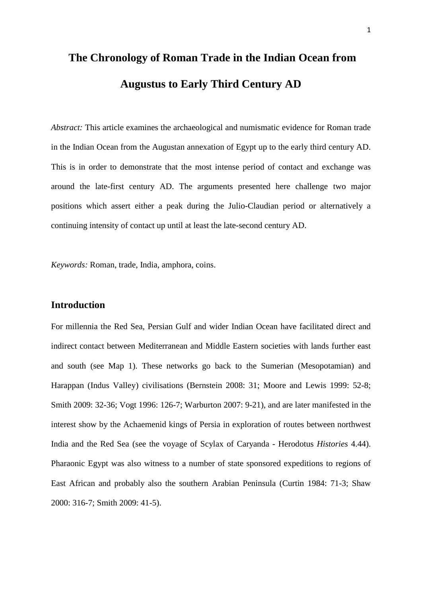*Abstract:* This article examines the archaeological and numismatic evidence for Roman trade in the Indian Ocean from the Augustan annexation of Egypt up to the early third century AD. This is in order to demonstrate that the most intense period of contact and exchange was around the late-first century AD. The arguments presented here challenge two major positions which assert either a peak during the Julio-Claudian period or alternatively a continuing intensity of contact up until at least the late-second century AD.

*Keywords:* Roman, trade, India, amphora, coins.

### **Introduction**

For millennia the Red Sea, Persian Gulf and wider Indian Ocean have facilitated direct and indirect contact between Mediterranean and Middle Eastern societies with lands further east and south (see Map 1). These networks go back to the Sumerian (Mesopotamian) and Harappan (Indus Valley) civilisations (Bernstein 2008: 31; Moore and Lewis 1999: 52-8; Smith 2009: 32-36; Vogt 1996: 126-7; Warburton 2007: 9-21), and are later manifested in the interest show by the Achaemenid kings of Persia in exploration of routes between northwest India and the Red Sea (see the voyage of Scylax of Caryanda - Herodotus *Histories* 4.44). Pharaonic Egypt was also witness to a number of state sponsored expeditions to regions of East African and probably also the southern Arabian Peninsula (Curtin 1984: 71-3; Shaw 2000: 316-7; Smith 2009: 41-5).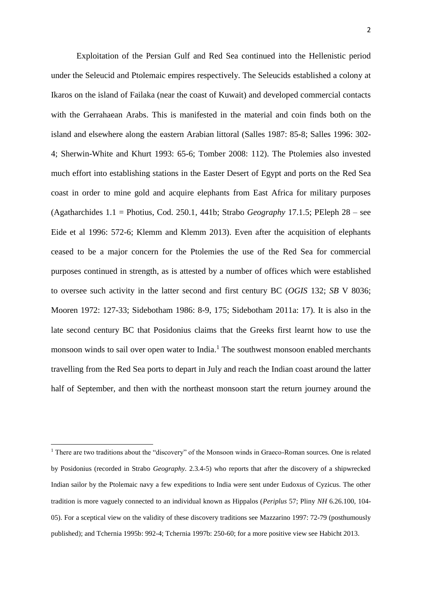Exploitation of the Persian Gulf and Red Sea continued into the Hellenistic period under the Seleucid and Ptolemaic empires respectively. The Seleucids established a colony at Ikaros on the island of Failaka (near the coast of Kuwait) and developed commercial contacts with the Gerrahaean Arabs. This is manifested in the material and coin finds both on the island and elsewhere along the eastern Arabian littoral (Salles 1987: 85-8; Salles 1996: 302- 4; Sherwin-White and Khurt 1993: 65-6; Tomber 2008: 112). The Ptolemies also invested much effort into establishing stations in the Easter Desert of Egypt and ports on the Red Sea coast in order to mine gold and acquire elephants from East Africa for military purposes (Agatharchides 1.1 = Photius, Cod. 250.1, 441b; Strabo *Geography* 17.1.5; PEleph 28 – see Eide et al 1996: 572-6; Klemm and Klemm 2013). Even after the acquisition of elephants ceased to be a major concern for the Ptolemies the use of the Red Sea for commercial purposes continued in strength, as is attested by a number of offices which were established to oversee such activity in the latter second and first century BC (*OGIS* 132; *SB* V 8036; Mooren 1972: 127-33; Sidebotham 1986: 8-9, 175; Sidebotham 2011a: 17). It is also in the late second century BC that Posidonius claims that the Greeks first learnt how to use the monsoon winds to sail over open water to India.<sup>1</sup> The southwest monsoon enabled merchants travelling from the Red Sea ports to depart in July and reach the Indian coast around the latter half of September, and then with the northeast monsoon start the return journey around the

1

<sup>1</sup> There are two traditions about the "discovery" of the Monsoon winds in Graeco-Roman sources. One is related by Posidonius (recorded in Strabo *Geography.* 2.3.4-5) who reports that after the discovery of a shipwrecked Indian sailor by the Ptolemaic navy a few expeditions to India were sent under Eudoxus of Cyzicus. The other tradition is more vaguely connected to an individual known as Hippalos (*Periplus* 57; Pliny *NH* 6.26.100, 104- 05). For a sceptical view on the validity of these discovery traditions see Mazzarino 1997: 72-79 (posthumously published); and Tchernia 1995b: 992-4; Tchernia 1997b: 250-60; for a more positive view see Habicht 2013.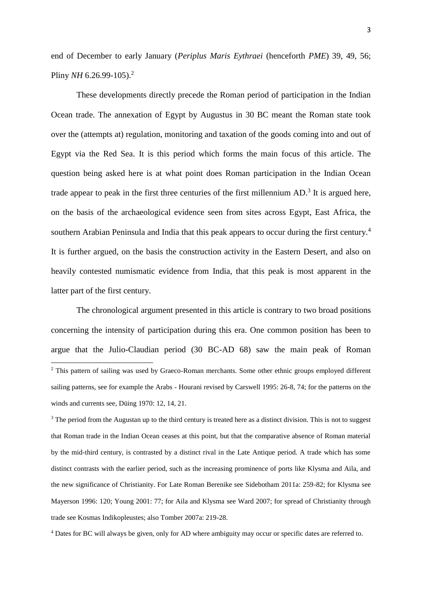end of December to early January (*Periplus Maris Eythraei* (henceforth *PME*) 39, 49, 56; Pliny *NH* 6.26.99-105).<sup>2</sup>

These developments directly precede the Roman period of participation in the Indian Ocean trade. The annexation of Egypt by Augustus in 30 BC meant the Roman state took over the (attempts at) regulation, monitoring and taxation of the goods coming into and out of Egypt via the Red Sea. It is this period which forms the main focus of this article. The question being asked here is at what point does Roman participation in the Indian Ocean trade appear to peak in the first three centuries of the first millennium  $AD$ <sup>3</sup>. It is argued here, on the basis of the archaeological evidence seen from sites across Egypt, East Africa, the southern Arabian Peninsula and India that this peak appears to occur during the first century.<sup>4</sup> It is further argued, on the basis the construction activity in the Eastern Desert, and also on heavily contested numismatic evidence from India, that this peak is most apparent in the latter part of the first century.

The chronological argument presented in this article is contrary to two broad positions concerning the intensity of participation during this era. One common position has been to argue that the Julio-Claudian period (30 BC-AD 68) saw the main peak of Roman  $\overline{a}$ <sup>2</sup> This pattern of sailing was used by Graeco-Roman merchants. Some other ethnic groups employed different sailing patterns, see for example the Arabs - Hourani revised by Carswell 1995: 26-8, 74; for the patterns on the winds and currents see, Düing 1970: 12, 14, 21.

<sup>3</sup> The period from the Augustan up to the third century is treated here as a distinct division. This is not to suggest that Roman trade in the Indian Ocean ceases at this point, but that the comparative absence of Roman material by the mid-third century, is contrasted by a distinct rival in the Late Antique period. A trade which has some distinct contrasts with the earlier period, such as the increasing prominence of ports like Klysma and Aila, and the new significance of Christianity. For Late Roman Berenike see Sidebotham 2011a: 259-82; for Klysma see Mayerson 1996: 120; Young 2001: 77; for Aila and Klysma see Ward 2007; for spread of Christianity through trade see Kosmas Indikopleustes; also Tomber 2007a: 219-28.

<sup>4</sup> Dates for BC will always be given, only for AD where ambiguity may occur or specific dates are referred to.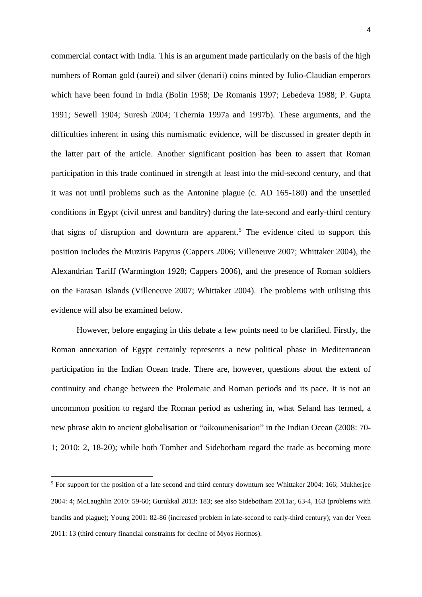commercial contact with India. This is an argument made particularly on the basis of the high numbers of Roman gold (aurei) and silver (denarii) coins minted by Julio-Claudian emperors which have been found in India (Bolin 1958; De Romanis 1997; Lebedeva 1988; P. Gupta 1991; Sewell 1904; Suresh 2004; Tchernia 1997a and 1997b). These arguments, and the difficulties inherent in using this numismatic evidence, will be discussed in greater depth in the latter part of the article. Another significant position has been to assert that Roman participation in this trade continued in strength at least into the mid-second century, and that it was not until problems such as the Antonine plague (c. AD 165-180) and the unsettled conditions in Egypt (civil unrest and banditry) during the late-second and early-third century that signs of disruption and downturn are apparent.<sup>5</sup> The evidence cited to support this position includes the Muziris Papyrus (Cappers 2006; Villeneuve 2007; Whittaker 2004), the Alexandrian Tariff (Warmington 1928; Cappers 2006), and the presence of Roman soldiers on the Farasan Islands (Villeneuve 2007; Whittaker 2004). The problems with utilising this evidence will also be examined below.

However, before engaging in this debate a few points need to be clarified. Firstly, the Roman annexation of Egypt certainly represents a new political phase in Mediterranean participation in the Indian Ocean trade. There are, however, questions about the extent of continuity and change between the Ptolemaic and Roman periods and its pace. It is not an uncommon position to regard the Roman period as ushering in, what Seland has termed, a new phrase akin to ancient globalisation or "oikoumenisation" in the Indian Ocean (2008: 70- 1; 2010: 2, 18-20); while both Tomber and Sidebotham regard the trade as becoming more

<sup>&</sup>lt;sup>5</sup> For support for the position of a late second and third century downturn see Whittaker 2004: 166; Mukherjee 2004: 4; McLaughlin 2010: 59-60; Gurukkal 2013: 183; see also Sidebotham 2011a:, 63-4, 163 (problems with bandits and plague); Young 2001: 82-86 (increased problem in late-second to early-third century); van der Veen 2011: 13 (third century financial constraints for decline of Myos Hormos).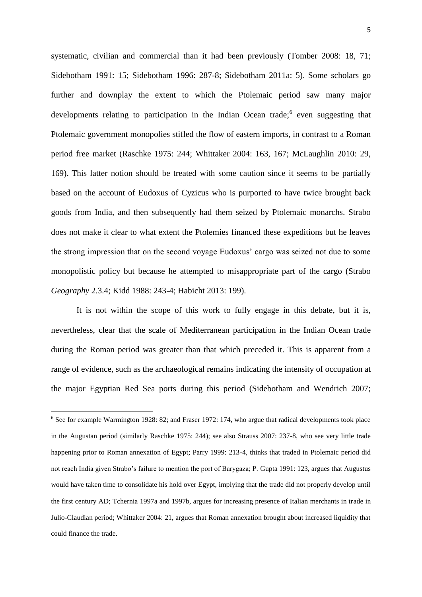systematic, civilian and commercial than it had been previously (Tomber 2008: 18, 71; Sidebotham 1991: 15; Sidebotham 1996: 287-8; Sidebotham 2011a: 5). Some scholars go further and downplay the extent to which the Ptolemaic period saw many major developments relating to participation in the Indian Ocean trade;<sup>6</sup> even suggesting that Ptolemaic government monopolies stifled the flow of eastern imports, in contrast to a Roman period free market (Raschke 1975: 244; Whittaker 2004: 163, 167; McLaughlin 2010: 29, 169). This latter notion should be treated with some caution since it seems to be partially based on the account of Eudoxus of Cyzicus who is purported to have twice brought back goods from India, and then subsequently had them seized by Ptolemaic monarchs. Strabo does not make it clear to what extent the Ptolemies financed these expeditions but he leaves the strong impression that on the second voyage Eudoxus' cargo was seized not due to some monopolistic policy but because he attempted to misappropriate part of the cargo (Strabo *Geography* 2.3.4; Kidd 1988: 243-4; Habicht 2013: 199).

It is not within the scope of this work to fully engage in this debate, but it is, nevertheless, clear that the scale of Mediterranean participation in the Indian Ocean trade during the Roman period was greater than that which preceded it. This is apparent from a range of evidence, such as the archaeological remains indicating the intensity of occupation at the major Egyptian Red Sea ports during this period (Sidebotham and Wendrich 2007;

<sup>6</sup> See for example Warmington 1928: 82; and Fraser 1972: 174, who argue that radical developments took place in the Augustan period (similarly Raschke 1975: 244); see also Strauss 2007: 237-8, who see very little trade happening prior to Roman annexation of Egypt; Parry 1999: 213-4, thinks that traded in Ptolemaic period did not reach India given Strabo's failure to mention the port of Barygaza; P. Gupta 1991: 123, argues that Augustus would have taken time to consolidate his hold over Egypt, implying that the trade did not properly develop until the first century AD; Tchernia 1997a and 1997b, argues for increasing presence of Italian merchants in trade in Julio-Claudian period; Whittaker 2004: 21, argues that Roman annexation brought about increased liquidity that could finance the trade.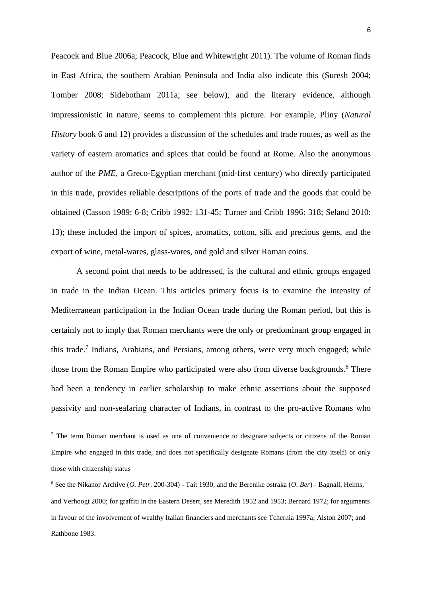Peacock and Blue 2006a; Peacock, Blue and Whitewright 2011). The volume of Roman finds in East Africa, the southern Arabian Peninsula and India also indicate this (Suresh 2004; Tomber 2008; Sidebotham 2011a; see below), and the literary evidence, although impressionistic in nature, seems to complement this picture. For example, Pliny (*Natural History* book 6 and 12) provides a discussion of the schedules and trade routes, as well as the variety of eastern aromatics and spices that could be found at Rome. Also the anonymous author of the *PME*, a Greco-Egyptian merchant (mid-first century) who directly participated in this trade, provides reliable descriptions of the ports of trade and the goods that could be obtained (Casson 1989: 6-8; Cribb 1992: 131-45; Turner and Cribb 1996: 318; Seland 2010: 13); these included the import of spices, aromatics, cotton, silk and precious gems, and the export of wine, metal-wares, glass-wares, and gold and silver Roman coins.

A second point that needs to be addressed, is the cultural and ethnic groups engaged in trade in the Indian Ocean. This articles primary focus is to examine the intensity of Mediterranean participation in the Indian Ocean trade during the Roman period, but this is certainly not to imply that Roman merchants were the only or predominant group engaged in this trade.<sup>7</sup> Indians, Arabians, and Persians, among others, were very much engaged; while those from the Roman Empire who participated were also from diverse backgrounds.<sup>8</sup> There had been a tendency in earlier scholarship to make ethnic assertions about the supposed passivity and non-seafaring character of Indians, in contrast to the pro-active Romans who

<sup>&</sup>lt;sup>7</sup> The term Roman merchant is used as one of convenience to designate subjects or citizens of the Roman Empire who engaged in this trade, and does not specifically designate Romans (from the city itself) or only those with citizenship status

<sup>8</sup> See the Nikanor Archive (*O. Petr*. 200-304) - Tait 1930; and the Berenike ostraka (*O. Ber*) - Bagnall, Helms, and Verhoogt 2000; for graffiti in the Eastern Desert, see Meredith 1952 and 1953; Bernard 1972; for arguments in favour of the involvement of wealthy Italian financiers and merchants see Tchernia 1997a; Alston 2007; and Rathbone 1983.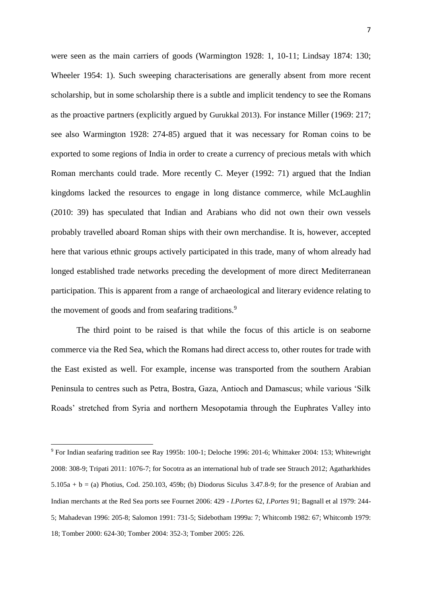were seen as the main carriers of goods (Warmington 1928: 1, 10-11; Lindsay 1874: 130; Wheeler 1954: 1). Such sweeping characterisations are generally absent from more recent scholarship, but in some scholarship there is a subtle and implicit tendency to see the Romans as the proactive partners (explicitly argued by Gurukkal 2013). For instance Miller (1969: 217; see also Warmington 1928: 274-85) argued that it was necessary for Roman coins to be exported to some regions of India in order to create a currency of precious metals with which Roman merchants could trade. More recently C. Meyer (1992: 71) argued that the Indian kingdoms lacked the resources to engage in long distance commerce, while McLaughlin (2010: 39) has speculated that Indian and Arabians who did not own their own vessels probably travelled aboard Roman ships with their own merchandise. It is, however, accepted here that various ethnic groups actively participated in this trade, many of whom already had longed established trade networks preceding the development of more direct Mediterranean participation. This is apparent from a range of archaeological and literary evidence relating to the movement of goods and from seafaring traditions.<sup>9</sup>

The third point to be raised is that while the focus of this article is on seaborne commerce via the Red Sea, which the Romans had direct access to, other routes for trade with the East existed as well. For example, incense was transported from the southern Arabian Peninsula to centres such as Petra, Bostra, Gaza, Antioch and Damascus; while various 'Silk Roads' stretched from Syria and northern Mesopotamia through the Euphrates Valley into

1

<sup>9</sup> For Indian seafaring tradition see Ray 1995b: 100-1; Deloche 1996: 201-6; Whittaker 2004: 153; Whitewright 2008: 308-9; Tripati 2011: 1076-7; for Socotra as an international hub of trade see Strauch 2012; Agatharkhides  $5.105a + b = (a)$  Photius, Cod. 250.103, 459b; (b) Diodorus Siculus 3.47.8-9; for the presence of Arabian and Indian merchants at the Red Sea ports see Fournet 2006: 429 - *I.Portes* 62, *I.Portes* 91; Bagnall et al 1979: 244- 5; Mahadevan 1996: 205-8; Salomon 1991: 731-5; Sidebotham 1999a: 7; Whitcomb 1982: 67; Whitcomb 1979: 18; Tomber 2000: 624-30; Tomber 2004: 352-3; Tomber 2005: 226.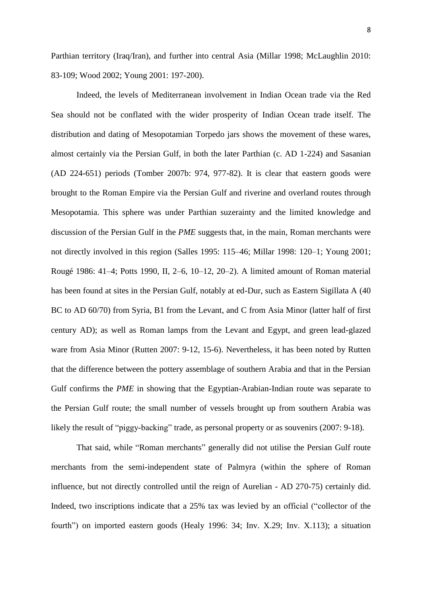Parthian territory (Iraq/Iran), and further into central Asia (Millar 1998; McLaughlin 2010: 83-109; Wood 2002; Young 2001: 197-200).

Indeed, the levels of Mediterranean involvement in Indian Ocean trade via the Red Sea should not be conflated with the wider prosperity of Indian Ocean trade itself. The distribution and dating of Mesopotamian Torpedo jars shows the movement of these wares, almost certainly via the Persian Gulf, in both the later Parthian (c. AD 1-224) and Sasanian (AD 224-651) periods (Tomber 2007b: 974, 977-82). It is clear that eastern goods were brought to the Roman Empire via the Persian Gulf and riverine and overland routes through Mesopotamia. This sphere was under Parthian suzerainty and the limited knowledge and discussion of the Persian Gulf in the *PME* suggests that, in the main, Roman merchants were not directly involved in this region (Salles 1995: 115–46; Millar 1998: 120–1; Young 2001; Rougé 1986: 41–4; Potts 1990, II, 2–6, 10–12, 20–2). A limited amount of Roman material has been found at sites in the Persian Gulf, notably at ed-Dur, such as Eastern Sigillata A (40 BC to AD 60/70) from Syria, B1 from the Levant, and C from Asia Minor (latter half of first century AD); as well as Roman lamps from the Levant and Egypt, and green lead-glazed ware from Asia Minor (Rutten 2007: 9-12, 15-6). Nevertheless, it has been noted by Rutten that the difference between the pottery assemblage of southern Arabia and that in the Persian Gulf confirms the *PME* in showing that the Egyptian-Arabian-Indian route was separate to the Persian Gulf route; the small number of vessels brought up from southern Arabia was likely the result of "piggy-backing" trade, as personal property or as souvenirs (2007: 9-18).

That said, while "Roman merchants" generally did not utilise the Persian Gulf route merchants from the semi-independent state of Palmyra (within the sphere of Roman influence, but not directly controlled until the reign of Aurelian - AD 270-75) certainly did. Indeed, two inscriptions indicate that a 25% tax was levied by an official ("collector of the fourth") on imported eastern goods (Healy 1996: 34; Inv. X.29; Inv. X.113); a situation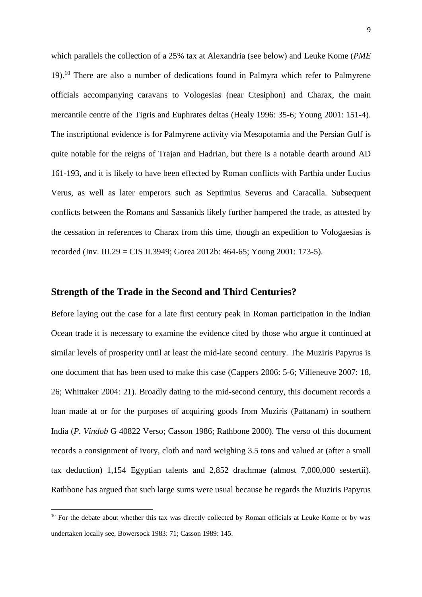which parallels the collection of a 25% tax at Alexandria (see below) and Leuke Kome (*PME*   $19$ .<sup>10</sup> There are also a number of dedications found in Palmyra which refer to Palmyrene officials accompanying caravans to Vologesias (near Ctesiphon) and Charax, the main mercantile centre of the Tigris and Euphrates deltas (Healy 1996: 35-6; Young 2001: 151-4). The inscriptional evidence is for Palmyrene activity via Mesopotamia and the Persian Gulf is quite notable for the reigns of Trajan and Hadrian, but there is a notable dearth around AD 161-193, and it is likely to have been effected by Roman conflicts with Parthia under Lucius Verus, as well as later emperors such as Septimius Severus and Caracalla. Subsequent conflicts between the Romans and Sassanids likely further hampered the trade, as attested by the cessation in references to Charax from this time, though an expedition to Vologaesias is recorded (Inv. III.29 = CIS II.3949; Gorea 2012b: 464-65; Young 2001: 173-5).

### **Strength of the Trade in the Second and Third Centuries?**

Before laying out the case for a late first century peak in Roman participation in the Indian Ocean trade it is necessary to examine the evidence cited by those who argue it continued at similar levels of prosperity until at least the mid-late second century. The Muziris Papyrus is one document that has been used to make this case (Cappers 2006: 5-6; Villeneuve 2007: 18, 26; Whittaker 2004: 21). Broadly dating to the mid-second century, this document records a loan made at or for the purposes of acquiring goods from Muziris (Pattanam) in southern India (*P. Vindob* G 40822 Verso; Casson 1986; Rathbone 2000). The verso of this document records a consignment of ivory, cloth and nard weighing 3.5 tons and valued at (after a small tax deduction) 1,154 Egyptian talents and 2,852 drachmae (almost 7,000,000 sestertii). Rathbone has argued that such large sums were usual because he regards the Muziris Papyrus

 $10$  For the debate about whether this tax was directly collected by Roman officials at Leuke Kome or by was undertaken locally see, Bowersock 1983: 71; Casson 1989: 145.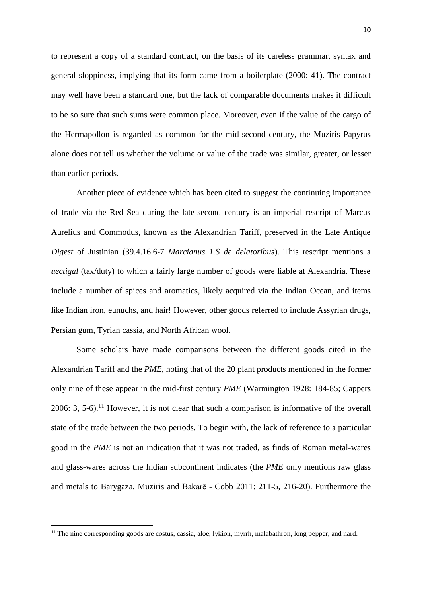to represent a copy of a standard contract, on the basis of its careless grammar, syntax and general sloppiness, implying that its form came from a boilerplate (2000: 41). The contract may well have been a standard one, but the lack of comparable documents makes it difficult to be so sure that such sums were common place. Moreover, even if the value of the cargo of the Hermapollon is regarded as common for the mid-second century, the Muziris Papyrus alone does not tell us whether the volume or value of the trade was similar, greater, or lesser than earlier periods.

Another piece of evidence which has been cited to suggest the continuing importance of trade via the Red Sea during the late-second century is an imperial rescript of Marcus Aurelius and Commodus, known as the Alexandrian Tariff, preserved in the Late Antique *Digest* of Justinian (39.4.16.6-7 *Marcianus 1.S de delatoribus*). This rescript mentions a *uectigal* (tax/duty) to which a fairly large number of goods were liable at Alexandria. These include a number of spices and aromatics, likely acquired via the Indian Ocean, and items like Indian iron, eunuchs, and hair! However, other goods referred to include Assyrian drugs, Persian gum, Tyrian cassia, and North African wool.

Some scholars have made comparisons between the different goods cited in the Alexandrian Tariff and the *PME*, noting that of the 20 plant products mentioned in the former only nine of these appear in the mid-first century *PME* (Warmington 1928: 184-85; Cappers 2006: 3, 5-6).<sup>11</sup> However, it is not clear that such a comparison is informative of the overall state of the trade between the two periods. To begin with, the lack of reference to a particular good in the *PME* is not an indication that it was not traded, as finds of Roman metal-wares and glass-wares across the Indian subcontinent indicates (the *PME* only mentions raw glass and metals to Barygaza, Muziris and Bakarē - Cobb 2011: 211-5, 216-20). Furthermore the

<sup>11</sup> The nine corresponding goods are costus, cassia, aloe, lykion, myrrh, malabathron, long pepper, and nard.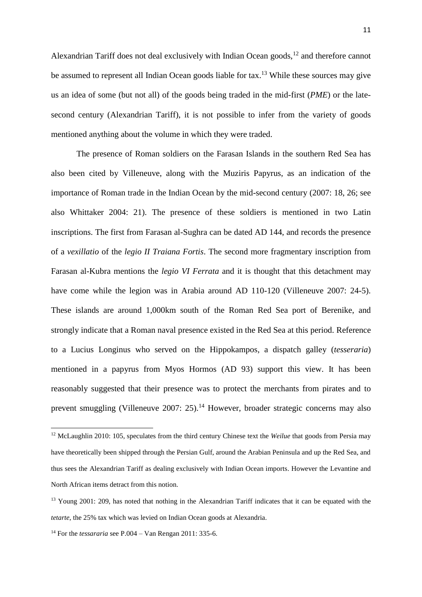Alexandrian Tariff does not deal exclusively with Indian Ocean goods,<sup>12</sup> and therefore cannot be assumed to represent all Indian Ocean goods liable for tax.<sup>13</sup> While these sources may give us an idea of some (but not all) of the goods being traded in the mid-first (*PME*) or the latesecond century (Alexandrian Tariff), it is not possible to infer from the variety of goods mentioned anything about the volume in which they were traded.

The presence of Roman soldiers on the Farasan Islands in the southern Red Sea has also been cited by Villeneuve, along with the Muziris Papyrus, as an indication of the importance of Roman trade in the Indian Ocean by the mid-second century (2007: 18, 26; see also Whittaker 2004: 21). The presence of these soldiers is mentioned in two Latin inscriptions. The first from Farasan al-Sughra can be dated AD 144, and records the presence of a *vexillatio* of the *legio II Traiana Fortis*. The second more fragmentary inscription from Farasan al-Kubra mentions the *legio VI Ferrata* and it is thought that this detachment may have come while the legion was in Arabia around AD 110-120 (Villeneuve 2007: 24-5). These islands are around 1,000km south of the Roman Red Sea port of Berenike, and strongly indicate that a Roman naval presence existed in the Red Sea at this period. Reference to a Lucius Longinus who served on the Hippokampos*,* a dispatch galley (*tesseraria*) mentioned in a papyrus from Myos Hormos (AD 93) support this view. It has been reasonably suggested that their presence was to protect the merchants from pirates and to prevent smuggling (Villeneuve 2007: 25).<sup>14</sup> However, broader strategic concerns may also

<sup>12</sup> McLaughlin 2010: 105, speculates from the third century Chinese text the *Weilue* that goods from Persia may have theoretically been shipped through the Persian Gulf, around the Arabian Peninsula and up the Red Sea, and thus sees the Alexandrian Tariff as dealing exclusively with Indian Ocean imports. However the Levantine and North African items detract from this notion.

<sup>&</sup>lt;sup>13</sup> Young 2001: 209, has noted that nothing in the Alexandrian Tariff indicates that it can be equated with the *tetarte*, the 25% tax which was levied on Indian Ocean goods at Alexandria.

<sup>14</sup> For the *tessararia* see P.004 – Van Rengan 2011: 335-6.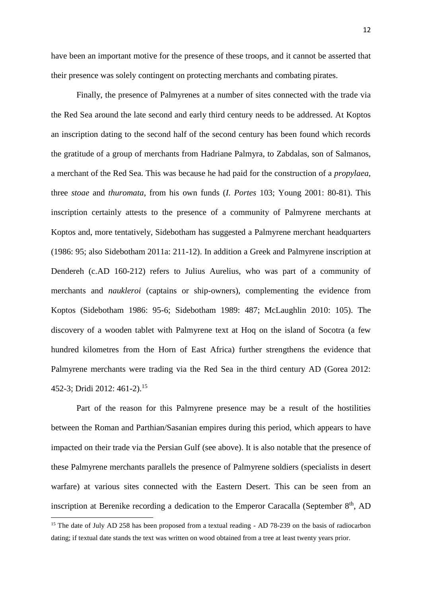have been an important motive for the presence of these troops, and it cannot be asserted that their presence was solely contingent on protecting merchants and combating pirates.

Finally, the presence of Palmyrenes at a number of sites connected with the trade via the Red Sea around the late second and early third century needs to be addressed. At Koptos an inscription dating to the second half of the second century has been found which records the gratitude of a group of merchants from Hadriane Palmyra, to Zabdalas, son of Salmanos, a merchant of the Red Sea. This was because he had paid for the construction of a *propylaea*, three *stoae* and *thuromata*, from his own funds (*I. Portes* 103; Young 2001: 80-81). This inscription certainly attests to the presence of a community of Palmyrene merchants at Koptos and, more tentatively, Sidebotham has suggested a Palmyrene merchant headquarters (1986: 95; also Sidebotham 2011a: 211-12). In addition a Greek and Palmyrene inscription at Dendereh (c.AD 160-212) refers to Julius Aurelius, who was part of a community of merchants and *naukleroi* (captains or ship-owners), complementing the evidence from Koptos (Sidebotham 1986: 95-6; Sidebotham 1989: 487; McLaughlin 2010: 105). The discovery of a wooden tablet with Palmyrene text at Hoq on the island of Socotra (a few hundred kilometres from the Horn of East Africa) further strengthens the evidence that Palmyrene merchants were trading via the Red Sea in the third century AD (Gorea 2012: 452-3; Dridi 2012: 461-2).<sup>15</sup>

Part of the reason for this Palmyrene presence may be a result of the hostilities between the Roman and Parthian/Sasanian empires during this period, which appears to have impacted on their trade via the Persian Gulf (see above). It is also notable that the presence of these Palmyrene merchants parallels the presence of Palmyrene soldiers (specialists in desert warfare) at various sites connected with the Eastern Desert. This can be seen from an inscription at Berenike recording a dedication to the Emperor Caracalla (September  $8<sup>th</sup>$ , AD

1

<sup>&</sup>lt;sup>15</sup> The date of July AD 258 has been proposed from a textual reading - AD 78-239 on the basis of radiocarbon dating; if textual date stands the text was written on wood obtained from a tree at least twenty years prior.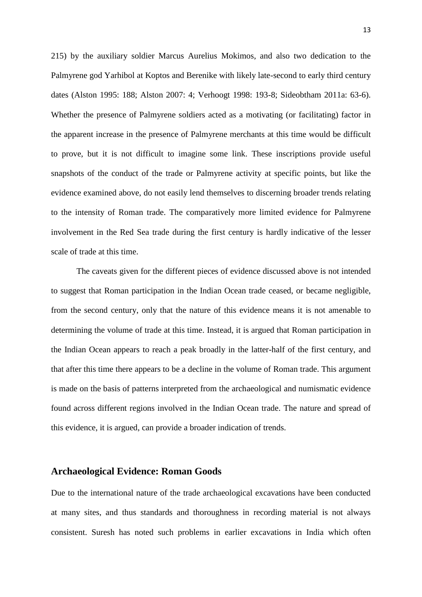215) by the auxiliary soldier Marcus Aurelius Mokimos, and also two dedication to the Palmyrene god Yarhibol at Koptos and Berenike with likely late-second to early third century dates (Alston 1995: 188; Alston 2007: 4; Verhoogt 1998: 193-8; Sideobtham 2011a: 63-6). Whether the presence of Palmyrene soldiers acted as a motivating (or facilitating) factor in the apparent increase in the presence of Palmyrene merchants at this time would be difficult to prove, but it is not difficult to imagine some link. These inscriptions provide useful snapshots of the conduct of the trade or Palmyrene activity at specific points, but like the evidence examined above, do not easily lend themselves to discerning broader trends relating to the intensity of Roman trade. The comparatively more limited evidence for Palmyrene involvement in the Red Sea trade during the first century is hardly indicative of the lesser scale of trade at this time.

The caveats given for the different pieces of evidence discussed above is not intended to suggest that Roman participation in the Indian Ocean trade ceased, or became negligible, from the second century, only that the nature of this evidence means it is not amenable to determining the volume of trade at this time. Instead, it is argued that Roman participation in the Indian Ocean appears to reach a peak broadly in the latter-half of the first century, and that after this time there appears to be a decline in the volume of Roman trade. This argument is made on the basis of patterns interpreted from the archaeological and numismatic evidence found across different regions involved in the Indian Ocean trade. The nature and spread of this evidence, it is argued, can provide a broader indication of trends.

# **Archaeological Evidence: Roman Goods**

Due to the international nature of the trade archaeological excavations have been conducted at many sites, and thus standards and thoroughness in recording material is not always consistent. Suresh has noted such problems in earlier excavations in India which often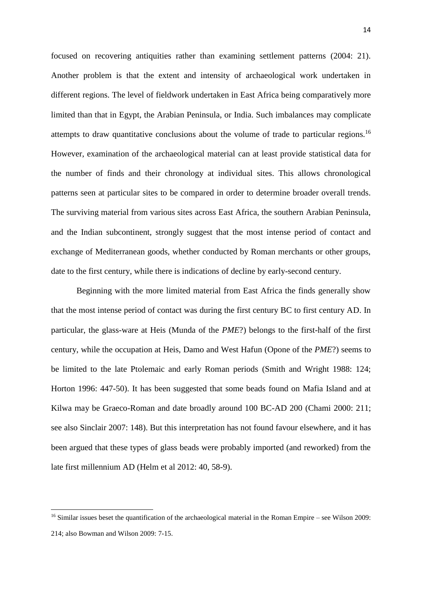focused on recovering antiquities rather than examining settlement patterns (2004: 21). Another problem is that the extent and intensity of archaeological work undertaken in different regions. The level of fieldwork undertaken in East Africa being comparatively more limited than that in Egypt, the Arabian Peninsula, or India. Such imbalances may complicate attempts to draw quantitative conclusions about the volume of trade to particular regions.<sup>16</sup> However, examination of the archaeological material can at least provide statistical data for the number of finds and their chronology at individual sites. This allows chronological patterns seen at particular sites to be compared in order to determine broader overall trends. The surviving material from various sites across East Africa, the southern Arabian Peninsula, and the Indian subcontinent, strongly suggest that the most intense period of contact and exchange of Mediterranean goods, whether conducted by Roman merchants or other groups, date to the first century, while there is indications of decline by early-second century.

Beginning with the more limited material from East Africa the finds generally show that the most intense period of contact was during the first century BC to first century AD. In particular, the glass-ware at Heis (Munda of the *PME*?) belongs to the first-half of the first century, while the occupation at Heis, Damo and West Hafun (Opone of the *PME*?) seems to be limited to the late Ptolemaic and early Roman periods (Smith and Wright 1988: 124; Horton 1996: 447-50). It has been suggested that some beads found on Mafia Island and at Kilwa may be Graeco-Roman and date broadly around 100 BC-AD 200 (Chami 2000: 211; see also Sinclair 2007: 148). But this interpretation has not found favour elsewhere, and it has been argued that these types of glass beads were probably imported (and reworked) from the late first millennium AD (Helm et al 2012: 40, 58-9).

 $16$  Similar issues beset the quantification of the archaeological material in the Roman Empire – see Wilson 2009: 214; also Bowman and Wilson 2009: 7-15.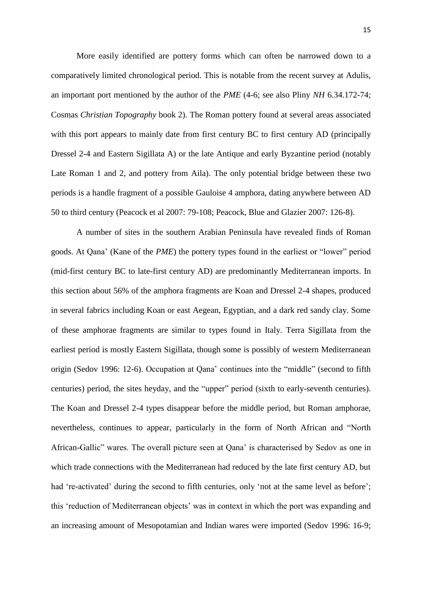More easily identified are pottery forms which can often be narrowed down to a comparatively limited chronological period. This is notable from the recent survey at Adulis, an important port mentioned by the author of the *PME* (4-6; see also Pliny *NH* 6.34.172-74; Cosmas *Christian Topography* book 2). The Roman pottery found at several areas associated with this port appears to mainly date from first century BC to first century AD (principally Dressel 2-4 and Eastern Sigillata A) or the late Antique and early Byzantine period (notably Late Roman 1 and 2, and pottery from Aila). The only potential bridge between these two periods is a handle fragment of a possible Gauloise 4 amphora, dating anywhere between AD 50 to third century (Peacock et al 2007: 79-108; Peacock, Blue and Glazier 2007: 126-8).

A number of sites in the southern Arabian Peninsula have revealed finds of Roman goods. At Qana' (Kane of the *PME*) the pottery types found in the earliest or "lower" period (mid-first century BC to late-first century AD) are predominantly Mediterranean imports. In this section about 56% of the amphora fragments are Koan and Dressel 2-4 shapes, produced in several fabrics including Koan or east Aegean, Egyptian, and a dark red sandy clay. Some of these amphorae fragments are similar to types found in Italy. Terra Sigillata from the earliest period is mostly Eastern Sigillata, though some is possibly of western Mediterranean origin (Sedov 1996: 12-6). Occupation at Qana' continues into the "middle" (second to fifth centuries) period, the sites heyday, and the "upper" period (sixth to early-seventh centuries). The Koan and Dressel 2-4 types disappear before the middle period, but Roman amphorae, nevertheless, continues to appear, particularly in the form of North African and "North African-Gallic" wares. The overall picture seen at Qana' is characterised by Sedov as one in which trade connections with the Mediterranean had reduced by the late first century AD, but had 're-activated' during the second to fifth centuries, only 'not at the same level as before'; this 'reduction of Mediterranean objects' was in context in which the port was expanding and an increasing amount of Mesopotamian and Indian wares were imported (Sedov 1996: 16-9;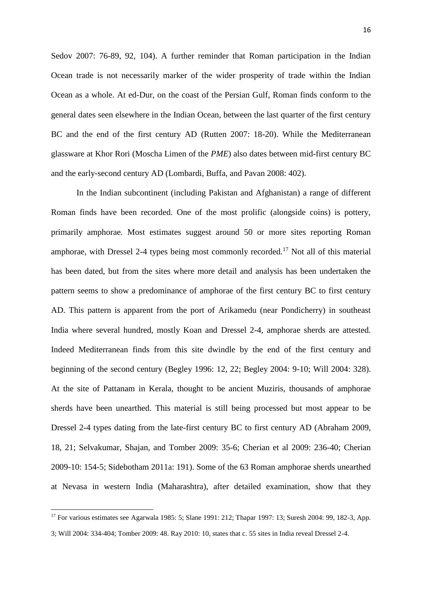Sedov 2007: 76-89, 92, 104). A further reminder that Roman participation in the Indian Ocean trade is not necessarily marker of the wider prosperity of trade within the Indian Ocean as a whole. At ed-Dur, on the coast of the Persian Gulf, Roman finds conform to the general dates seen elsewhere in the Indian Ocean, between the last quarter of the first century BC and the end of the first century AD (Rutten 2007: 18-20). While the Mediterranean glassware at Khor Rori (Moscha Limen of the *PME*) also dates between mid-first century BC and the early-second century AD (Lombardi, Buffa, and Pavan 2008: 402).

In the Indian subcontinent (including Pakistan and Afghanistan) a range of different Roman finds have been recorded. One of the most prolific (alongside coins) is pottery, primarily amphorae. Most estimates suggest around 50 or more sites reporting Roman amphorae, with Dressel 2-4 types being most commonly recorded.<sup>17</sup> Not all of this material has been dated, but from the sites where more detail and analysis has been undertaken the pattern seems to show a predominance of amphorae of the first century BC to first century AD. This pattern is apparent from the port of Arikamedu (near Pondicherry) in southeast India where several hundred, mostly Koan and Dressel 2-4, amphorae sherds are attested. Indeed Mediterranean finds from this site dwindle by the end of the first century and beginning of the second century (Begley 1996: 12, 22; Begley 2004: 9-10; Will 2004: 328). At the site of Pattanam in Kerala, thought to be ancient Muziris, thousands of amphorae sherds have been unearthed. This material is still being processed but most appear to be Dressel 2-4 types dating from the late-first century BC to first century AD (Abraham 2009, 18, 21; Selvakumar, Shajan, and Tomber 2009: 35-6; Cherian et al 2009: 236-40; Cherian 2009-10: 154-5; Sidebotham 2011a: 191). Some of the 63 Roman amphorae sherds unearthed at Nevasa in western India (Maharashtra), after detailed examination, show that they

<sup>17</sup> For various estimates see Agarwala 1985: 5; Slane 1991: 212; Thapar 1997: 13; Suresh 2004: 99, 182-3, App.

<sup>3;</sup> Will 2004: 334-404; Tomber 2009: 48. Ray 2010: 10, states that c. 55 sites in India reveal Dressel 2-4.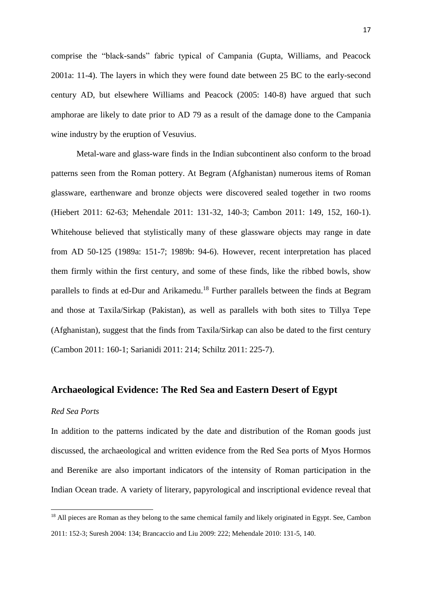comprise the "black-sands" fabric typical of Campania (Gupta, Williams, and Peacock 2001a: 11-4). The layers in which they were found date between 25 BC to the early-second century AD, but elsewhere Williams and Peacock (2005: 140-8) have argued that such amphorae are likely to date prior to AD 79 as a result of the damage done to the Campania wine industry by the eruption of Vesuvius.

Metal-ware and glass-ware finds in the Indian subcontinent also conform to the broad patterns seen from the Roman pottery. At Begram (Afghanistan) numerous items of Roman glassware, earthenware and bronze objects were discovered sealed together in two rooms (Hiebert 2011: 62-63; Mehendale 2011: 131-32, 140-3; Cambon 2011: 149, 152, 160-1). Whitehouse believed that stylistically many of these glassware objects may range in date from AD 50-125 (1989a: 151-7; 1989b: 94-6). However, recent interpretation has placed them firmly within the first century, and some of these finds, like the ribbed bowls, show parallels to finds at ed-Dur and Arikamedu.<sup>18</sup> Further parallels between the finds at Begram and those at Taxila/Sirkap (Pakistan), as well as parallels with both sites to Tillya Tepe (Afghanistan), suggest that the finds from Taxila/Sirkap can also be dated to the first century (Cambon 2011: 160-1; Sarianidi 2011: 214; Schiltz 2011: 225-7).

#### **Archaeological Evidence: The Red Sea and Eastern Desert of Egypt**

#### *Red Sea Ports*

**.** 

In addition to the patterns indicated by the date and distribution of the Roman goods just discussed, the archaeological and written evidence from the Red Sea ports of Myos Hormos and Berenike are also important indicators of the intensity of Roman participation in the Indian Ocean trade. A variety of literary, papyrological and inscriptional evidence reveal that

<sup>&</sup>lt;sup>18</sup> All pieces are Roman as they belong to the same chemical family and likely originated in Egypt. See, Cambon 2011: 152-3; Suresh 2004: 134; Brancaccio and Liu 2009: 222; Mehendale 2010: 131-5, 140.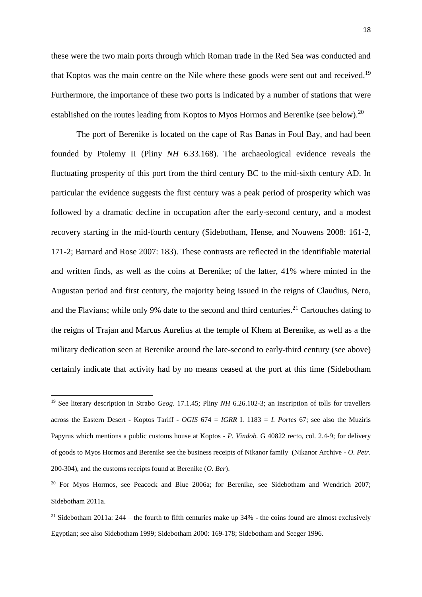these were the two main ports through which Roman trade in the Red Sea was conducted and that Koptos was the main centre on the Nile where these goods were sent out and received.<sup>19</sup> Furthermore, the importance of these two ports is indicated by a number of stations that were established on the routes leading from Koptos to Myos Hormos and Berenike (see below).<sup>20</sup>

The port of Berenike is located on the cape of Ras Banas in Foul Bay, and had been founded by Ptolemy II (Pliny *NH* 6.33.168). The archaeological evidence reveals the fluctuating prosperity of this port from the third century BC to the mid-sixth century AD. In particular the evidence suggests the first century was a peak period of prosperity which was followed by a dramatic decline in occupation after the early-second century, and a modest recovery starting in the mid-fourth century (Sidebotham, Hense, and Nouwens 2008: 161-2, 171-2; Barnard and Rose 2007: 183). These contrasts are reflected in the identifiable material and written finds, as well as the coins at Berenike; of the latter, 41% where minted in the Augustan period and first century, the majority being issued in the reigns of Claudius, Nero, and the Flavians; while only 9% date to the second and third centuries.<sup>21</sup> Cartouches dating to the reigns of Trajan and Marcus Aurelius at the temple of Khem at Berenike, as well as a the military dedication seen at Berenike around the late-second to early-third century (see above) certainly indicate that activity had by no means ceased at the port at this time (Sidebotham

1

<sup>19</sup> See literary description in Strabo *Geog*. 17.1.45; Pliny *NH* 6.26.102-3; an inscription of tolls for travellers across the Eastern Desert - Koptos Tariff - *OGIS* 674 = *IGRR* I. 1183 = *I. Portes* 67; see also the Muziris Papyrus which mentions a public customs house at Koptos - *P. Vindob.* G 40822 recto, col. 2.4-9; for delivery of goods to Myos Hormos and Berenike see the business receipts of Nikanor family (Nikanor Archive - *O. Petr.* 200-304), and the customs receipts found at Berenike (*O. Ber*).

<sup>&</sup>lt;sup>20</sup> For Myos Hormos, see Peacock and Blue 2006a; for Berenike, see Sidebotham and Wendrich 2007; Sidebotham 2011a.

<sup>&</sup>lt;sup>21</sup> Sidebotham 2011a: 244 – the fourth to fifth centuries make up  $34%$  - the coins found are almost exclusively Egyptian; see also Sidebotham 1999; Sidebotham 2000: 169-178; Sidebotham and Seeger 1996.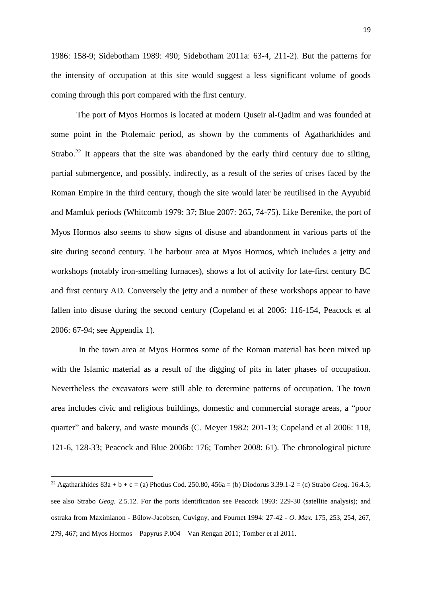1986: 158-9; Sidebotham 1989: 490; Sidebotham 2011a: 63-4, 211-2). But the patterns for the intensity of occupation at this site would suggest a less significant volume of goods coming through this port compared with the first century.

The port of Myos Hormos is located at modern Quseir al-Qadim and was founded at some point in the Ptolemaic period, as shown by the comments of Agatharkhides and Strabo.<sup>22</sup> It appears that the site was abandoned by the early third century due to silting, partial submergence, and possibly, indirectly, as a result of the series of crises faced by the Roman Empire in the third century, though the site would later be reutilised in the Ayyubid and Mamluk periods (Whitcomb 1979: 37; Blue 2007: 265, 74-75). Like Berenike, the port of Myos Hormos also seems to show signs of disuse and abandonment in various parts of the site during second century. The harbour area at Myos Hormos, which includes a jetty and workshops (notably iron-smelting furnaces), shows a lot of activity for late-first century BC and first century AD. Conversely the jetty and a number of these workshops appear to have fallen into disuse during the second century (Copeland et al 2006: 116-154, Peacock et al 2006: 67-94; see Appendix 1).

In the town area at Myos Hormos some of the Roman material has been mixed up with the Islamic material as a result of the digging of pits in later phases of occupation. Nevertheless the excavators were still able to determine patterns of occupation. The town area includes civic and religious buildings, domestic and commercial storage areas, a "poor quarter" and bakery, and waste mounds (C. Meyer 1982: 201-13; Copeland et al 2006: 118, 121-6, 128-33; Peacock and Blue 2006b: 176; Tomber 2008: 61). The chronological picture

<sup>&</sup>lt;sup>22</sup> Agatharkhides  $83a + b + c = (a)$  Photius Cod. 250.80, 456a = (b) Diodorus 3.39.1-2 = (c) Strabo *Geog.* 16.4.5; see also Strabo *Geog.* 2.5.12. For the ports identification see Peacock 1993: 229-30 (satellite analysis); and ostraka from Maximianon - Bülow-Jacobsen, Cuvigny, and Fournet 1994: 27-42 - *O. Max.* 175, 253, 254, 267, 279, 467; and Myos Hormos – Papyrus P.004 – Van Rengan 2011; Tomber et al 2011.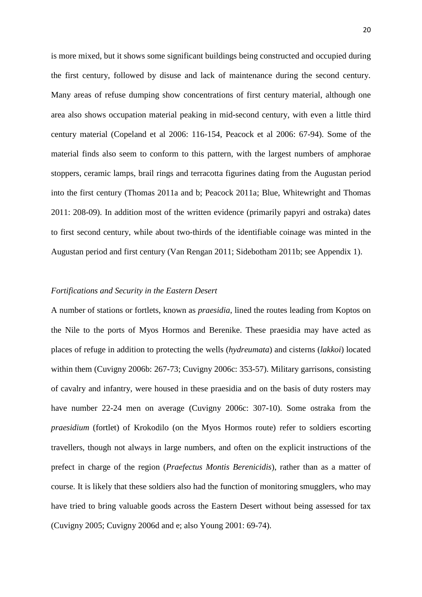is more mixed, but it shows some significant buildings being constructed and occupied during the first century, followed by disuse and lack of maintenance during the second century. Many areas of refuse dumping show concentrations of first century material, although one area also shows occupation material peaking in mid-second century, with even a little third century material (Copeland et al 2006: 116-154, Peacock et al 2006: 67-94). Some of the material finds also seem to conform to this pattern, with the largest numbers of amphorae stoppers, ceramic lamps, brail rings and terracotta figurines dating from the Augustan period into the first century (Thomas 2011a and b; Peacock 2011a; Blue, Whitewright and Thomas 2011: 208-09). In addition most of the written evidence (primarily papyri and ostraka) dates to first second century, while about two-thirds of the identifiable coinage was minted in the Augustan period and first century (Van Rengan 2011; Sidebotham 2011b; see Appendix 1).

#### *Fortifications and Security in the Eastern Desert*

A number of stations or fortlets, known as *praesidia*, lined the routes leading from Koptos on the Nile to the ports of Myos Hormos and Berenike. These praesidia may have acted as places of refuge in addition to protecting the wells (*hydreumata*) and cisterns (*lakkoi*) located within them (Cuvigny 2006b: 267-73; Cuvigny 2006c: 353-57). Military garrisons, consisting of cavalry and infantry, were housed in these praesidia and on the basis of duty rosters may have number 22-24 men on average (Cuvigny 2006c: 307-10). Some ostraka from the *praesidium* (fortlet) of Krokodilo (on the Myos Hormos route) refer to soldiers escorting travellers, though not always in large numbers, and often on the explicit instructions of the prefect in charge of the region (*Praefectus Montis Berenicidis*), rather than as a matter of course. It is likely that these soldiers also had the function of monitoring smugglers, who may have tried to bring valuable goods across the Eastern Desert without being assessed for tax (Cuvigny 2005; Cuvigny 2006d and e; also Young 2001: 69-74).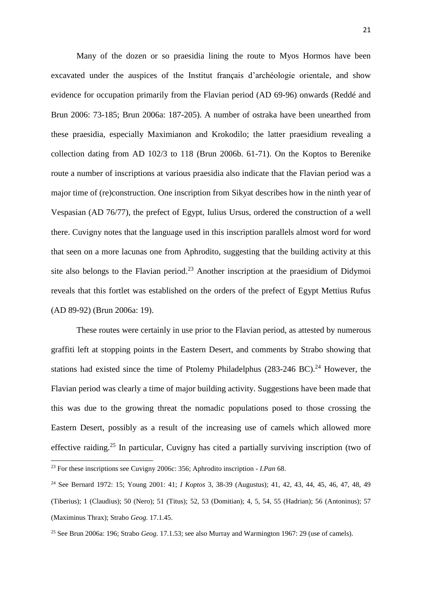Many of the dozen or so praesidia lining the route to Myos Hormos have been excavated under the auspices of the Institut français d'archéologie orientale, and show evidence for occupation primarily from the Flavian period (AD 69-96) onwards (Reddé and Brun 2006: 73-185; Brun 2006a: 187-205). A number of ostraka have been unearthed from these praesidia, especially Maximianon and Krokodilo; the latter praesidium revealing a collection dating from AD 102/3 to 118 (Brun 2006b. 61-71). On the Koptos to Berenike route a number of inscriptions at various praesidia also indicate that the Flavian period was a major time of (re)construction. One inscription from Sikyat describes how in the ninth year of Vespasian (AD 76/77), the prefect of Egypt, Iulius Ursus, ordered the construction of a well there. Cuvigny notes that the language used in this inscription parallels almost word for word that seen on a more lacunas one from Aphrodito, suggesting that the building activity at this site also belongs to the Flavian period.<sup>23</sup> Another inscription at the praesidium of Didymoi reveals that this fortlet was established on the orders of the prefect of Egypt Mettius Rufus (AD 89-92) (Brun 2006a: 19).

These routes were certainly in use prior to the Flavian period, as attested by numerous graffiti left at stopping points in the Eastern Desert, and comments by Strabo showing that stations had existed since the time of Ptolemy Philadelphus  $(283-246 \text{ BC})$ .<sup>24</sup> However, the Flavian period was clearly a time of major building activity. Suggestions have been made that this was due to the growing threat the nomadic populations posed to those crossing the Eastern Desert, possibly as a result of the increasing use of camels which allowed more effective raiding.<sup>25</sup> In particular, Cuvigny has cited a partially surviving inscription (two of

<sup>23</sup> For these inscriptions see Cuvigny 2006c: 356; Aphrodito inscription - *I.Pan* 68.

<sup>24</sup> See Bernard 1972: 15; Young 2001: 41; *I Koptos* 3, 38-39 (Augustus); 41, 42, 43, 44, 45, 46, 47, 48, 49 (Tiberius); 1 (Claudius); 50 (Nero); 51 (Titus); 52, 53 (Domitian); 4, 5, 54, 55 (Hadrian); 56 (Antoninus); 57 (Maximinus Thrax); Strabo *Geog.* 17.1.45.

<sup>25</sup> See Brun 2006a: 196; Strabo *Geog.* 17.1.53; see also Murray and Warmington 1967: 29 (use of camels).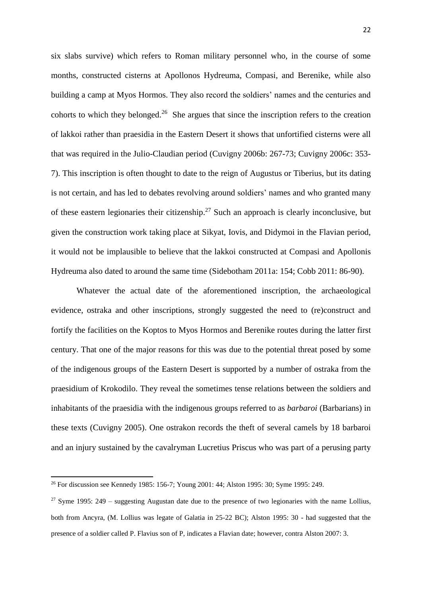six slabs survive) which refers to Roman military personnel who, in the course of some months, constructed cisterns at Apollonos Hydreuma, Compasi, and Berenike, while also building a camp at Myos Hormos. They also record the soldiers' names and the centuries and cohorts to which they belonged. $26$  She argues that since the inscription refers to the creation of lakkoi rather than praesidia in the Eastern Desert it shows that unfortified cisterns were all that was required in the Julio-Claudian period (Cuvigny 2006b: 267-73; Cuvigny 2006c: 353- 7). This inscription is often thought to date to the reign of Augustus or Tiberius, but its dating is not certain, and has led to debates revolving around soldiers' names and who granted many of these eastern legionaries their citizenship.<sup>27</sup> Such an approach is clearly inconclusive, but given the construction work taking place at Sikyat, Iovis, and Didymoi in the Flavian period, it would not be implausible to believe that the lakkoi constructed at Compasi and Apollonis Hydreuma also dated to around the same time (Sidebotham 2011a: 154; Cobb 2011: 86-90).

Whatever the actual date of the aforementioned inscription, the archaeological evidence, ostraka and other inscriptions, strongly suggested the need to (re)construct and fortify the facilities on the Koptos to Myos Hormos and Berenike routes during the latter first century. That one of the major reasons for this was due to the potential threat posed by some of the indigenous groups of the Eastern Desert is supported by a number of ostraka from the praesidium of Krokodilo. They reveal the sometimes tense relations between the soldiers and inhabitants of the praesidia with the indigenous groups referred to as *barbaroi* (Barbarians) in these texts (Cuvigny 2005). One ostrakon records the theft of several camels by 18 barbaroi and an injury sustained by the cavalryman Lucretius Priscus who was part of a perusing party

<sup>26</sup> For discussion see Kennedy 1985: 156-7; Young 2001: 44; Alston 1995: 30; Syme 1995: 249.

<sup>&</sup>lt;sup>27</sup> Syme 1995: 249 – suggesting Augustan date due to the presence of two legionaries with the name Lollius, both from Ancyra, (M. Lollius was legate of Galatia in 25-22 BC); Alston 1995: 30 - had suggested that the presence of a soldier called P. Flavius son of P, indicates a Flavian date; however, contra Alston 2007: 3.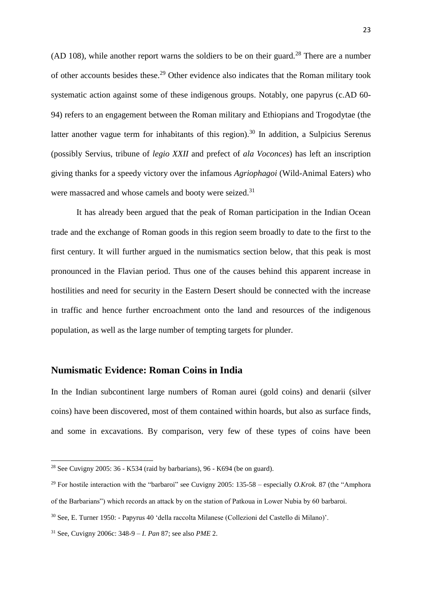(AD 108), while another report warns the soldiers to be on their guard.<sup>28</sup> There are a number of other accounts besides these.<sup>29</sup> Other evidence also indicates that the Roman military took systematic action against some of these indigenous groups. Notably, one papyrus (c.AD 60- 94) refers to an engagement between the Roman military and Ethiopians and Trogodytae (the latter another vague term for inhabitants of this region).<sup>30</sup> In addition, a Sulpicius Serenus (possibly Servius, tribune of *legio XXII* and prefect of *ala Voconces*) has left an inscription giving thanks for a speedy victory over the infamous *Agriophagoi* (Wild-Animal Eaters) who were massacred and whose camels and booty were seized.<sup>31</sup>

It has already been argued that the peak of Roman participation in the Indian Ocean trade and the exchange of Roman goods in this region seem broadly to date to the first to the first century. It will further argued in the numismatics section below, that this peak is most pronounced in the Flavian period. Thus one of the causes behind this apparent increase in hostilities and need for security in the Eastern Desert should be connected with the increase in traffic and hence further encroachment onto the land and resources of the indigenous population, as well as the large number of tempting targets for plunder.

## **Numismatic Evidence: Roman Coins in India**

In the Indian subcontinent large numbers of Roman aurei (gold coins) and denarii (silver coins) have been discovered, most of them contained within hoards, but also as surface finds, and some in excavations. By comparison, very few of these types of coins have been

<sup>&</sup>lt;sup>28</sup> See Cuvigny 2005:  $36$  - K534 (raid by barbarians),  $96$  - K694 (be on guard).

<sup>&</sup>lt;sup>29</sup> For hostile interaction with the "barbaroi" see Cuvigny 2005: 135-58 – especially *O.Krok.* 87 (the "Amphora") of the Barbarians") which records an attack by on the station of Patkoua in Lower Nubia by 60 barbaroi.

<sup>30</sup> See, E. Turner 1950: - Papyrus 40 'della raccolta Milanese (Collezioni del Castello di Milano)'.

<sup>31</sup> See, Cuvigny 2006c: 348-9 – *I. Pan* 87; see also *PME* 2.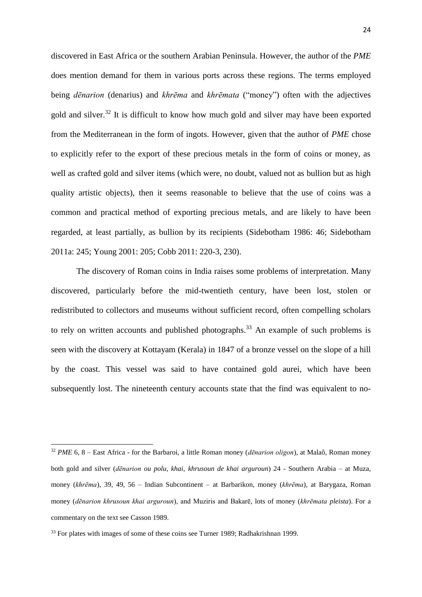discovered in East Africa or the southern Arabian Peninsula. However, the author of the *PME*  does mention demand for them in various ports across these regions. The terms employed being *dēnarion* (denarius) and *khrēma* and *khrēmata* ("money") often with the adjectives gold and silver.<sup>32</sup> It is difficult to know how much gold and silver may have been exported from the Mediterranean in the form of ingots. However, given that the author of *PME* chose to explicitly refer to the export of these precious metals in the form of coins or money, as well as crafted gold and silver items (which were, no doubt, valued not as bullion but as high quality artistic objects), then it seems reasonable to believe that the use of coins was a common and practical method of exporting precious metals, and are likely to have been regarded, at least partially, as bullion by its recipients (Sidebotham 1986: 46; Sidebotham 2011a: 245; Young 2001: 205; Cobb 2011: 220-3, 230).

The discovery of Roman coins in India raises some problems of interpretation. Many discovered, particularly before the mid-twentieth century, have been lost, stolen or redistributed to collectors and museums without sufficient record, often compelling scholars to rely on written accounts and published photographs.<sup>33</sup> An example of such problems is seen with the discovery at Kottayam (Kerala) in 1847 of a bronze vessel on the slope of a hill by the coast. This vessel was said to have contained gold aurei, which have been subsequently lost. The nineteenth century accounts state that the find was equivalent to no-

1

<sup>32</sup> *PME* 6, 8 – East Africa - for the Barbaroi, a little Roman money (*dēnarion oligon*), at Malaô, Roman money both gold and silver (*dēnarion ou polu*, *khai*, *khrusoun de khai arguroun*) 24 - Southern Arabia – at Muza, money (*khrēma*), 39, 49, 56 – Indian Subcontinent – at Barbarikon, money (*khrēma*), at Barygaza, Roman money (*dēnarion khrusoun khai arguroun*), and Muziris and Bakarē, lots of money (*khrēmata pleista*). For a commentary on the text see Casson 1989.

<sup>&</sup>lt;sup>33</sup> For plates with images of some of these coins see Turner 1989; Radhakrishnan 1999.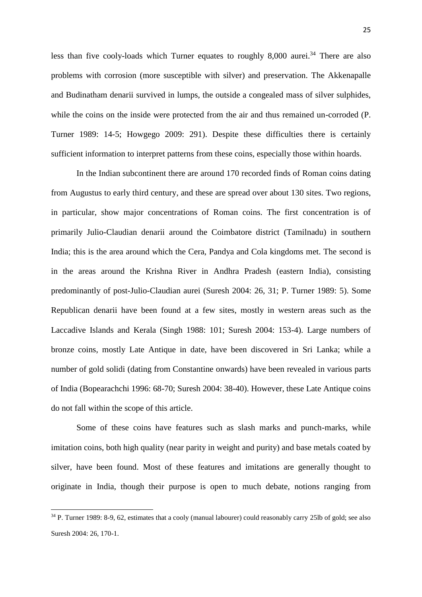less than five cooly-loads which Turner equates to roughly 8,000 aurei.<sup>34</sup> There are also problems with corrosion (more susceptible with silver) and preservation. The Akkenapalle and Budinatham denarii survived in lumps, the outside a congealed mass of silver sulphides, while the coins on the inside were protected from the air and thus remained un-corroded (P. Turner 1989: 14-5; Howgego 2009: 291). Despite these difficulties there is certainly sufficient information to interpret patterns from these coins, especially those within hoards.

In the Indian subcontinent there are around 170 recorded finds of Roman coins dating from Augustus to early third century, and these are spread over about 130 sites. Two regions, in particular, show major concentrations of Roman coins. The first concentration is of primarily Julio-Claudian denarii around the Coimbatore district (Tamilnadu) in southern India; this is the area around which the Cera, Pandya and Cola kingdoms met. The second is in the areas around the Krishna River in Andhra Pradesh (eastern India), consisting predominantly of post-Julio-Claudian aurei (Suresh 2004: 26, 31; P. Turner 1989: 5). Some Republican denarii have been found at a few sites, mostly in western areas such as the Laccadive Islands and Kerala (Singh 1988: 101; Suresh 2004: 153-4). Large numbers of bronze coins, mostly Late Antique in date, have been discovered in Sri Lanka; while a number of gold solidi (dating from Constantine onwards) have been revealed in various parts of India (Bopearachchi 1996: 68-70; Suresh 2004: 38-40). However, these Late Antique coins do not fall within the scope of this article.

Some of these coins have features such as slash marks and punch-marks, while imitation coins, both high quality (near parity in weight and purity) and base metals coated by silver, have been found. Most of these features and imitations are generally thought to originate in India, though their purpose is open to much debate, notions ranging from

<sup>34</sup> P. Turner 1989: 8-9, 62, estimates that a cooly (manual labourer) could reasonably carry 25lb of gold; see also Suresh 2004: 26, 170-1.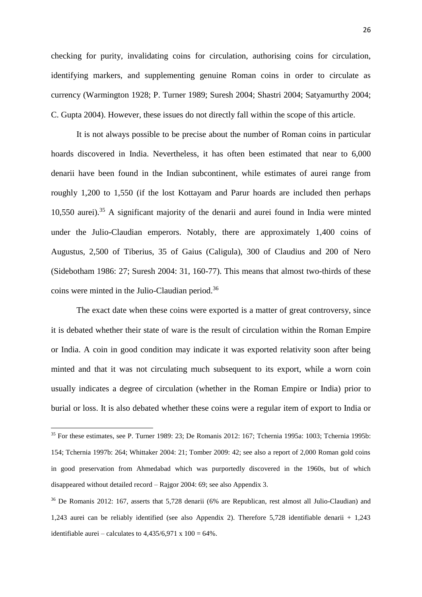checking for purity, invalidating coins for circulation, authorising coins for circulation, identifying markers, and supplementing genuine Roman coins in order to circulate as currency (Warmington 1928; P. Turner 1989; Suresh 2004; Shastri 2004; Satyamurthy 2004; C. Gupta 2004). However, these issues do not directly fall within the scope of this article.

It is not always possible to be precise about the number of Roman coins in particular hoards discovered in India. Nevertheless, it has often been estimated that near to 6,000 denarii have been found in the Indian subcontinent, while estimates of aurei range from roughly 1,200 to 1,550 (if the lost Kottayam and Parur hoards are included then perhaps 10,550 aurei). <sup>35</sup> A significant majority of the denarii and aurei found in India were minted under the Julio-Claudian emperors. Notably, there are approximately 1,400 coins of Augustus, 2,500 of Tiberius, 35 of Gaius (Caligula), 300 of Claudius and 200 of Nero (Sidebotham 1986: 27; Suresh 2004: 31, 160-77). This means that almost two-thirds of these coins were minted in the Julio-Claudian period. 36

The exact date when these coins were exported is a matter of great controversy, since it is debated whether their state of ware is the result of circulation within the Roman Empire or India. A coin in good condition may indicate it was exported relativity soon after being minted and that it was not circulating much subsequent to its export, while a worn coin usually indicates a degree of circulation (whether in the Roman Empire or India) prior to burial or loss. It is also debated whether these coins were a regular item of export to India or

<sup>35</sup> For these estimates, see P. Turner 1989: 23; De Romanis 2012: 167; Tchernia 1995a: 1003; Tchernia 1995b: 154; Tchernia 1997b: 264; Whittaker 2004: 21; Tomber 2009: 42; see also a report of 2,000 Roman gold coins in good preservation from Ahmedabad which was purportedly discovered in the 1960s, but of which disappeared without detailed record – Rajgor 2004: 69; see also Appendix 3.

<sup>36</sup> De Romanis 2012: 167, asserts that 5,728 denarii (6% are Republican, rest almost all Julio-Claudian) and 1,243 aurei can be reliably identified (see also Appendix 2). Therefore 5,728 identifiable denarii + 1,243 identifiable aurei – calculates to  $4.435/6.971 \times 100 = 64\%$ .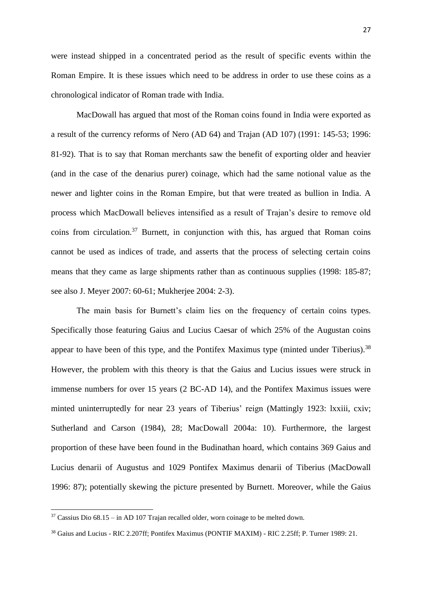were instead shipped in a concentrated period as the result of specific events within the Roman Empire. It is these issues which need to be address in order to use these coins as a chronological indicator of Roman trade with India.

MacDowall has argued that most of the Roman coins found in India were exported as a result of the currency reforms of Nero (AD 64) and Trajan (AD 107) (1991: 145-53; 1996: 81-92). That is to say that Roman merchants saw the benefit of exporting older and heavier (and in the case of the denarius purer) coinage, which had the same notional value as the newer and lighter coins in the Roman Empire, but that were treated as bullion in India. A process which MacDowall believes intensified as a result of Trajan's desire to remove old coins from circulation.<sup>37</sup> Burnett, in conjunction with this, has argued that Roman coins cannot be used as indices of trade, and asserts that the process of selecting certain coins means that they came as large shipments rather than as continuous supplies (1998: 185-87; see also J. Meyer 2007: 60-61; Mukherjee 2004: 2-3).

The main basis for Burnett's claim lies on the frequency of certain coins types. Specifically those featuring Gaius and Lucius Caesar of which 25% of the Augustan coins appear to have been of this type, and the Pontifex Maximus type (minted under Tiberius).<sup>38</sup> However, the problem with this theory is that the Gaius and Lucius issues were struck in immense numbers for over 15 years (2 BC-AD 14), and the Pontifex Maximus issues were minted uninterruptedly for near 23 years of Tiberius' reign (Mattingly 1923: lxxiii, cxiv; Sutherland and Carson (1984), 28; MacDowall 2004a: 10). Furthermore, the largest proportion of these have been found in the Budinathan hoard, which contains 369 Gaius and Lucius denarii of Augustus and 1029 Pontifex Maximus denarii of Tiberius (MacDowall 1996: 87); potentially skewing the picture presented by Burnett. Moreover, while the Gaius

 $37$  Cassius Dio 68.15 – in AD 107 Trajan recalled older, worn coinage to be melted down.

<sup>38</sup> Gaius and Lucius - RIC 2.207ff; Pontifex Maximus (PONTIF MAXIM) - RIC 2.25ff; P. Turner 1989: 21.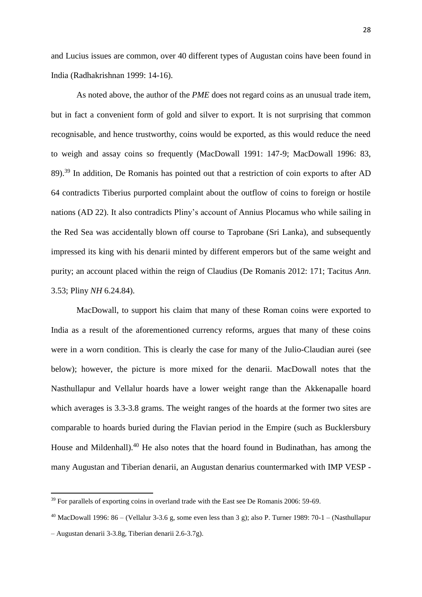and Lucius issues are common, over 40 different types of Augustan coins have been found in India (Radhakrishnan 1999: 14-16).

As noted above, the author of the *PME* does not regard coins as an unusual trade item, but in fact a convenient form of gold and silver to export. It is not surprising that common recognisable, and hence trustworthy, coins would be exported, as this would reduce the need to weigh and assay coins so frequently (MacDowall 1991: 147-9; MacDowall 1996: 83, 89).<sup>39</sup> In addition, De Romanis has pointed out that a restriction of coin exports to after AD 64 contradicts Tiberius purported complaint about the outflow of coins to foreign or hostile nations (AD 22). It also contradicts Pliny's account of Annius Plocamus who while sailing in the Red Sea was accidentally blown off course to Taprobane (Sri Lanka), and subsequently impressed its king with his denarii minted by different emperors but of the same weight and purity; an account placed within the reign of Claudius (De Romanis 2012: 171; Tacitus *Ann*. 3.53; Pliny *NH* 6.24.84).

MacDowall, to support his claim that many of these Roman coins were exported to India as a result of the aforementioned currency reforms, argues that many of these coins were in a worn condition. This is clearly the case for many of the Julio-Claudian aurei (see below); however, the picture is more mixed for the denarii. MacDowall notes that the Nasthullapur and Vellalur hoards have a lower weight range than the Akkenapalle hoard which averages is 3.3-3.8 grams. The weight ranges of the hoards at the former two sites are comparable to hoards buried during the Flavian period in the Empire (such as Bucklersbury House and Mildenhall).<sup>40</sup> He also notes that the hoard found in Budinathan, has among the many Augustan and Tiberian denarii, an Augustan denarius countermarked with IMP VESP -

1

<sup>&</sup>lt;sup>39</sup> For parallels of exporting coins in overland trade with the East see De Romanis 2006: 59-69.

<sup>&</sup>lt;sup>40</sup> MacDowall 1996:  $86 -$  (Vellalur 3-3.6 g, some even less than 3 g); also P. Turner 1989: 70-1 – (Nasthullapur

<sup>–</sup> Augustan denarii 3-3.8g, Tiberian denarii 2.6-3.7g).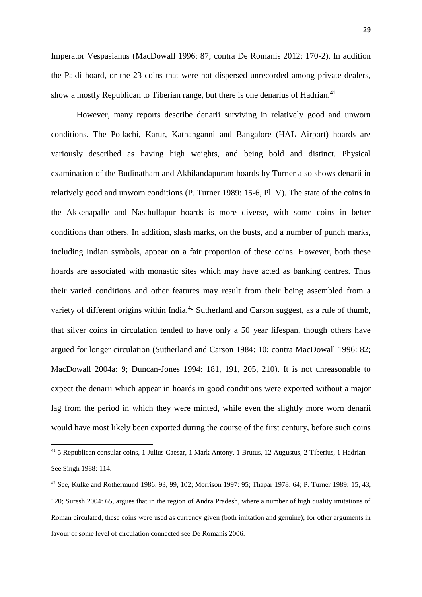Imperator Vespasianus (MacDowall 1996: 87; contra De Romanis 2012: 170-2). In addition the Pakli hoard, or the 23 coins that were not dispersed unrecorded among private dealers, show a mostly Republican to Tiberian range, but there is one denarius of Hadrian.<sup>41</sup>

However, many reports describe denarii surviving in relatively good and unworn conditions. The Pollachi, Karur, Kathanganni and Bangalore (HAL Airport) hoards are variously described as having high weights, and being bold and distinct. Physical examination of the Budinatham and Akhilandapuram hoards by Turner also shows denarii in relatively good and unworn conditions (P. Turner 1989: 15-6, Pl. V). The state of the coins in the Akkenapalle and Nasthullapur hoards is more diverse, with some coins in better conditions than others. In addition, slash marks, on the busts, and a number of punch marks, including Indian symbols, appear on a fair proportion of these coins. However, both these hoards are associated with monastic sites which may have acted as banking centres. Thus their varied conditions and other features may result from their being assembled from a variety of different origins within India.<sup>42</sup> Sutherland and Carson suggest, as a rule of thumb, that silver coins in circulation tended to have only a 50 year lifespan, though others have argued for longer circulation (Sutherland and Carson 1984: 10; contra MacDowall 1996: 82; MacDowall 2004a: 9; Duncan-Jones 1994: 181, 191, 205, 210). It is not unreasonable to expect the denarii which appear in hoards in good conditions were exported without a major lag from the period in which they were minted, while even the slightly more worn denarii would have most likely been exported during the course of the first century, before such coins

1

<sup>41</sup> 5 Republican consular coins, 1 Julius Caesar, 1 Mark Antony, 1 Brutus, 12 Augustus, 2 Tiberius, 1 Hadrian – See Singh 1988: 114.

<sup>42</sup> See, Kulke and Rothermund 1986: 93, 99, 102; Morrison 1997: 95; Thapar 1978: 64; P. Turner 1989: 15, 43, 120; Suresh 2004: 65, argues that in the region of Andra Pradesh, where a number of high quality imitations of Roman circulated, these coins were used as currency given (both imitation and genuine); for other arguments in favour of some level of circulation connected see De Romanis 2006.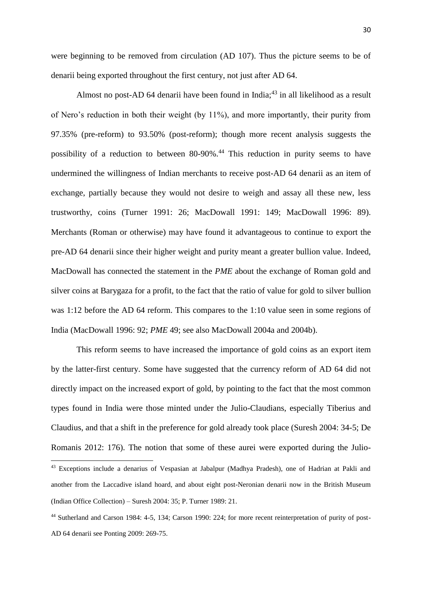were beginning to be removed from circulation (AD 107). Thus the picture seems to be of denarii being exported throughout the first century, not just after AD 64.

Almost no post-AD 64 denarii have been found in India; $^{43}$  in all likelihood as a result of Nero's reduction in both their weight (by 11%), and more importantly, their purity from 97.35% (pre-reform) to 93.50% (post-reform); though more recent analysis suggests the possibility of a reduction to between 80-90%.<sup>44</sup> This reduction in purity seems to have undermined the willingness of Indian merchants to receive post-AD 64 denarii as an item of exchange, partially because they would not desire to weigh and assay all these new, less trustworthy, coins (Turner 1991: 26; MacDowall 1991: 149; MacDowall 1996: 89). Merchants (Roman or otherwise) may have found it advantageous to continue to export the pre-AD 64 denarii since their higher weight and purity meant a greater bullion value. Indeed, MacDowall has connected the statement in the *PME* about the exchange of Roman gold and silver coins at Barygaza for a profit, to the fact that the ratio of value for gold to silver bullion was 1:12 before the AD 64 reform. This compares to the 1:10 value seen in some regions of India (MacDowall 1996: 92; *PME* 49; see also MacDowall 2004a and 2004b).

This reform seems to have increased the importance of gold coins as an export item by the latter-first century. Some have suggested that the currency reform of AD 64 did not directly impact on the increased export of gold, by pointing to the fact that the most common types found in India were those minted under the Julio-Claudians, especially Tiberius and Claudius, and that a shift in the preference for gold already took place (Suresh 2004: 34-5; De Romanis 2012: 176). The notion that some of these aurei were exported during the Julio-

<sup>43</sup> Exceptions include a denarius of Vespasian at Jabalpur (Madhya Pradesh), one of Hadrian at Pakli and another from the Laccadive island hoard, and about eight post-Neronian denarii now in the British Museum (Indian Office Collection) – Suresh 2004: 35; P. Turner 1989: 21.

<sup>44</sup> Sutherland and Carson 1984: 4-5, 134; Carson 1990: 224; for more recent reinterpretation of purity of post-AD 64 denarii see Ponting 2009: 269-75.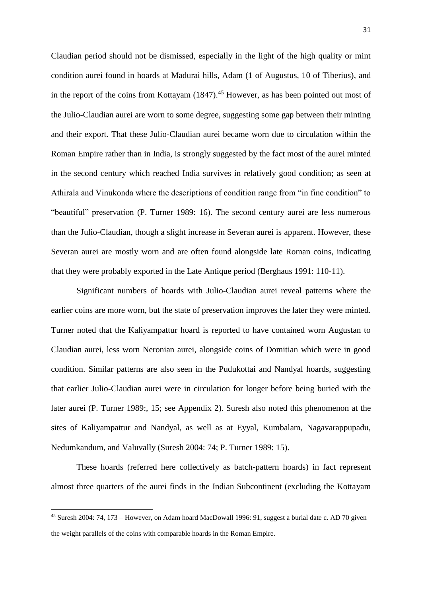Claudian period should not be dismissed, especially in the light of the high quality or mint condition aurei found in hoards at Madurai hills, Adam (1 of Augustus, 10 of Tiberius), and in the report of the coins from Kottayam  $(1847)$ <sup>45</sup> However, as has been pointed out most of the Julio-Claudian aurei are worn to some degree, suggesting some gap between their minting and their export. That these Julio-Claudian aurei became worn due to circulation within the Roman Empire rather than in India, is strongly suggested by the fact most of the aurei minted in the second century which reached India survives in relatively good condition; as seen at Athirala and Vinukonda where the descriptions of condition range from "in fine condition" to "beautiful" preservation (P. Turner 1989: 16). The second century aurei are less numerous than the Julio-Claudian, though a slight increase in Severan aurei is apparent. However, these Severan aurei are mostly worn and are often found alongside late Roman coins, indicating that they were probably exported in the Late Antique period (Berghaus 1991: 110-11).

Significant numbers of hoards with Julio-Claudian aurei reveal patterns where the earlier coins are more worn, but the state of preservation improves the later they were minted. Turner noted that the Kaliyampattur hoard is reported to have contained worn Augustan to Claudian aurei, less worn Neronian aurei, alongside coins of Domitian which were in good condition. Similar patterns are also seen in the Pudukottai and Nandyal hoards, suggesting that earlier Julio-Claudian aurei were in circulation for longer before being buried with the later aurei (P. Turner 1989:, 15; see Appendix 2). Suresh also noted this phenomenon at the sites of Kaliyampattur and Nandyal, as well as at Eyyal, Kumbalam, Nagavarappupadu, Nedumkandum, and Valuvally (Suresh 2004: 74; P. Turner 1989: 15).

These hoards (referred here collectively as batch-pattern hoards) in fact represent almost three quarters of the aurei finds in the Indian Subcontinent (excluding the Kottayam

<sup>45</sup> Suresh 2004: 74, 173 – However, on Adam hoard MacDowall 1996: 91, suggest a burial date c. AD 70 given the weight parallels of the coins with comparable hoards in the Roman Empire.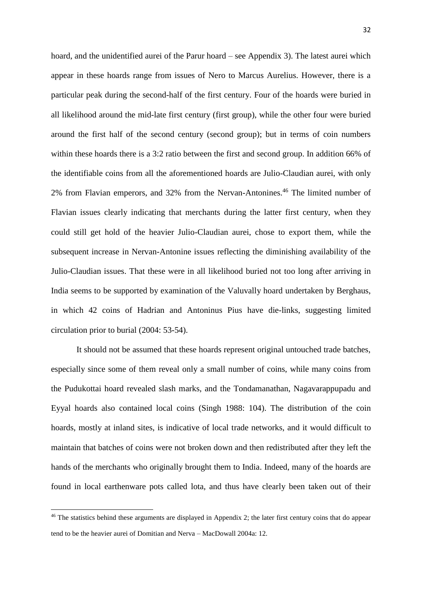hoard, and the unidentified aurei of the Parur hoard – see Appendix 3). The latest aurei which appear in these hoards range from issues of Nero to Marcus Aurelius. However, there is a particular peak during the second-half of the first century. Four of the hoards were buried in all likelihood around the mid-late first century (first group), while the other four were buried around the first half of the second century (second group); but in terms of coin numbers within these hoards there is a 3:2 ratio between the first and second group. In addition 66% of the identifiable coins from all the aforementioned hoards are Julio-Claudian aurei, with only 2% from Flavian emperors, and 32% from the Nervan-Antonines.<sup>46</sup> The limited number of Flavian issues clearly indicating that merchants during the latter first century, when they could still get hold of the heavier Julio-Claudian aurei, chose to export them, while the subsequent increase in Nervan-Antonine issues reflecting the diminishing availability of the Julio-Claudian issues. That these were in all likelihood buried not too long after arriving in India seems to be supported by examination of the Valuvally hoard undertaken by Berghaus, in which 42 coins of Hadrian and Antoninus Pius have die-links, suggesting limited circulation prior to burial (2004: 53-54).

It should not be assumed that these hoards represent original untouched trade batches, especially since some of them reveal only a small number of coins, while many coins from the Pudukottai hoard revealed slash marks, and the Tondamanathan, Nagavarappupadu and Eyyal hoards also contained local coins (Singh 1988: 104). The distribution of the coin hoards, mostly at inland sites, is indicative of local trade networks, and it would difficult to maintain that batches of coins were not broken down and then redistributed after they left the hands of the merchants who originally brought them to India. Indeed, many of the hoards are found in local earthenware pots called lota, and thus have clearly been taken out of their

<sup>&</sup>lt;sup>46</sup> The statistics behind these arguments are displayed in Appendix 2; the later first century coins that do appear tend to be the heavier aurei of Domitian and Nerva – MacDowall 2004a: 12.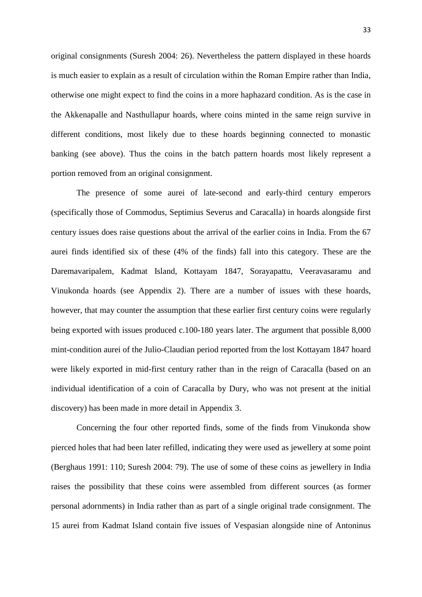original consignments (Suresh 2004: 26). Nevertheless the pattern displayed in these hoards is much easier to explain as a result of circulation within the Roman Empire rather than India, otherwise one might expect to find the coins in a more haphazard condition. As is the case in the Akkenapalle and Nasthullapur hoards, where coins minted in the same reign survive in different conditions, most likely due to these hoards beginning connected to monastic banking (see above). Thus the coins in the batch pattern hoards most likely represent a portion removed from an original consignment.

The presence of some aurei of late-second and early-third century emperors (specifically those of Commodus, Septimius Severus and Caracalla) in hoards alongside first century issues does raise questions about the arrival of the earlier coins in India. From the 67 aurei finds identified six of these (4% of the finds) fall into this category. These are the Daremavaripalem, Kadmat Island, Kottayam 1847, Sorayapattu, Veeravasaramu and Vinukonda hoards (see Appendix 2). There are a number of issues with these hoards, however, that may counter the assumption that these earlier first century coins were regularly being exported with issues produced c.100-180 years later. The argument that possible 8,000 mint-condition aurei of the Julio-Claudian period reported from the lost Kottayam 1847 hoard were likely exported in mid-first century rather than in the reign of Caracalla (based on an individual identification of a coin of Caracalla by Dury, who was not present at the initial discovery) has been made in more detail in Appendix 3.

Concerning the four other reported finds, some of the finds from Vinukonda show pierced holes that had been later refilled, indicating they were used as jewellery at some point (Berghaus 1991: 110; Suresh 2004: 79). The use of some of these coins as jewellery in India raises the possibility that these coins were assembled from different sources (as former personal adornments) in India rather than as part of a single original trade consignment. The 15 aurei from Kadmat Island contain five issues of Vespasian alongside nine of Antoninus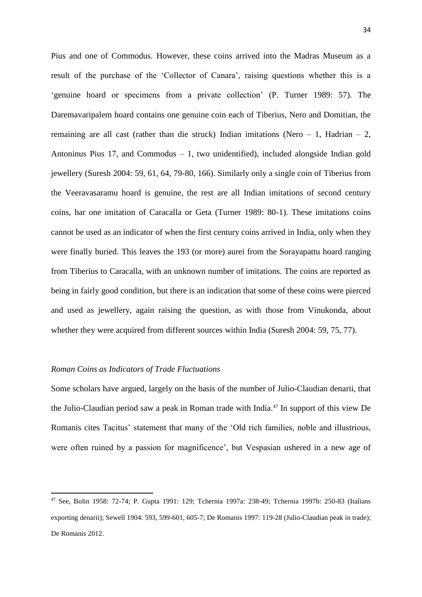Pius and one of Commodus. However, these coins arrived into the Madras Museum as a result of the purchase of the 'Collector of Canara', raising questions whether this is a 'genuine hoard or specimens from a private collection' (P. Turner 1989: 57). The Daremavaripalem hoard contains one genuine coin each of Tiberius, Nero and Domitian, the remaining are all cast (rather than die struck) Indian imitations (Nero  $-1$ , Hadrian  $-2$ , Antoninus Pius 17, and Commodus – 1, two unidentified), included alongside Indian gold jewellery (Suresh 2004: 59, 61, 64, 79-80, 166). Similarly only a single coin of Tiberius from the Veeravasaramu hoard is genuine, the rest are all Indian imitations of second century coins, bar one imitation of Caracalla or Geta (Turner 1989: 80-1). These imitations coins cannot be used as an indicator of when the first century coins arrived in India, only when they were finally buried. This leaves the 193 (or more) aurei from the Sorayapattu hoard ranging from Tiberius to Caracalla, with an unknown number of imitations. The coins are reported as being in fairly good condition, but there is an indication that some of these coins were pierced and used as jewellery, again raising the question, as with those from Vinukonda, about whether they were acquired from different sources within India (Suresh 2004: 59, 75, 77).

#### *Roman Coins as Indicators of Trade Fluctuations*

1

Some scholars have argued, largely on the basis of the number of Julio-Claudian denarii, that the Julio-Claudian period saw a peak in Roman trade with India.<sup>47</sup> In support of this view De Romanis cites Tacitus' statement that many of the 'Old rich families, noble and illustrious, were often ruined by a passion for magnificence', but Vespasian ushered in a new age of

<sup>47</sup> See, Bolin 1958: 72-74; P. Gupta 1991: 129; Tchernia 1997a: 238-49; Tchernia 1997b: 250-83 (Italians exporting denarii); Sewell 1904: 593, 599-601, 605-7; De Romanis 1997: 119-28 (Julio-Claudian peak in trade); De Romanis 2012.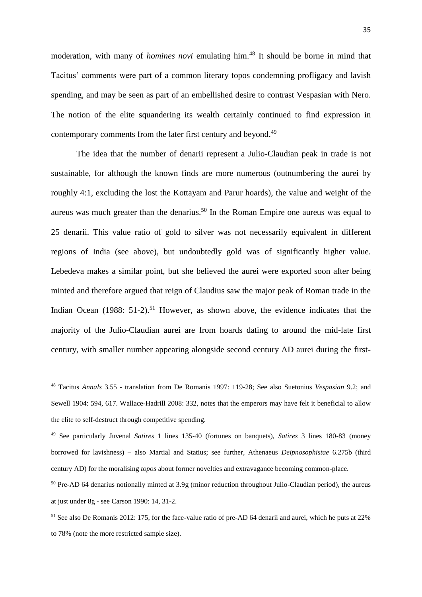moderation, with many of *homines novi* emulating him.<sup>48</sup> It should be borne in mind that Tacitus' comments were part of a common literary topos condemning profligacy and lavish spending, and may be seen as part of an embellished desire to contrast Vespasian with Nero. The notion of the elite squandering its wealth certainly continued to find expression in contemporary comments from the later first century and beyond.<sup>49</sup>

The idea that the number of denarii represent a Julio-Claudian peak in trade is not sustainable, for although the known finds are more numerous (outnumbering the aurei by roughly 4:1, excluding the lost the Kottayam and Parur hoards), the value and weight of the aureus was much greater than the denarius. <sup>50</sup> In the Roman Empire one aureus was equal to 25 denarii. This value ratio of gold to silver was not necessarily equivalent in different regions of India (see above), but undoubtedly gold was of significantly higher value. Lebedeva makes a similar point, but she believed the aurei were exported soon after being minted and therefore argued that reign of Claudius saw the major peak of Roman trade in the Indian Ocean  $(1988: 51-2)$ .<sup>51</sup> However, as shown above, the evidence indicates that the majority of the Julio-Claudian aurei are from hoards dating to around the mid-late first century, with smaller number appearing alongside second century AD aurei during the first-

<sup>48</sup> Tacitus *Annals* 3.55 - translation from De Romanis 1997: 119-28; See also Suetonius *Vespasian* 9.2; and Sewell 1904: 594, 617. Wallace-Hadrill 2008: 332, notes that the emperors may have felt it beneficial to allow the elite to self-destruct through competitive spending.

<sup>49</sup> See particularly Juvenal *Satires* 1 lines 135-40 (fortunes on banquets), *Satires* 3 lines 180-83 (money borrowed for lavishness) – also Martial and Statius; see further, Athenaeus *Deipnosophistae* 6.275b (third century AD) for the moralising *topos* about former novelties and extravagance becoming common-place.

<sup>50</sup> Pre-AD 64 denarius notionally minted at 3.9g (minor reduction throughout Julio-Claudian period), the aureus at just under 8g - see Carson 1990: 14, 31-2.

<sup>51</sup> See also De Romanis 2012: 175, for the face-value ratio of pre-AD 64 denarii and aurei, which he puts at 22% to 78% (note the more restricted sample size).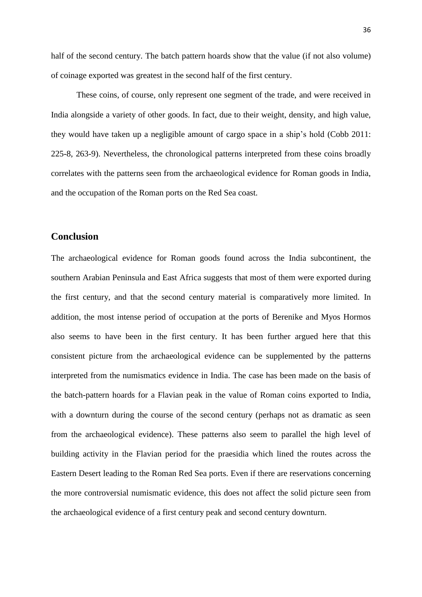half of the second century. The batch pattern hoards show that the value (if not also volume) of coinage exported was greatest in the second half of the first century.

These coins, of course, only represent one segment of the trade, and were received in India alongside a variety of other goods. In fact, due to their weight, density, and high value, they would have taken up a negligible amount of cargo space in a ship's hold (Cobb 2011: 225-8, 263-9). Nevertheless, the chronological patterns interpreted from these coins broadly correlates with the patterns seen from the archaeological evidence for Roman goods in India, and the occupation of the Roman ports on the Red Sea coast.

### **Conclusion**

The archaeological evidence for Roman goods found across the India subcontinent, the southern Arabian Peninsula and East Africa suggests that most of them were exported during the first century, and that the second century material is comparatively more limited. In addition, the most intense period of occupation at the ports of Berenike and Myos Hormos also seems to have been in the first century. It has been further argued here that this consistent picture from the archaeological evidence can be supplemented by the patterns interpreted from the numismatics evidence in India. The case has been made on the basis of the batch-pattern hoards for a Flavian peak in the value of Roman coins exported to India, with a downturn during the course of the second century (perhaps not as dramatic as seen from the archaeological evidence). These patterns also seem to parallel the high level of building activity in the Flavian period for the praesidia which lined the routes across the Eastern Desert leading to the Roman Red Sea ports. Even if there are reservations concerning the more controversial numismatic evidence, this does not affect the solid picture seen from the archaeological evidence of a first century peak and second century downturn.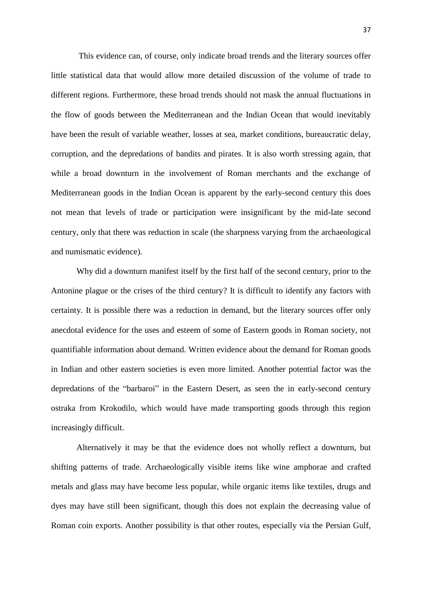This evidence can, of course, only indicate broad trends and the literary sources offer little statistical data that would allow more detailed discussion of the volume of trade to different regions. Furthermore, these broad trends should not mask the annual fluctuations in the flow of goods between the Mediterranean and the Indian Ocean that would inevitably have been the result of variable weather, losses at sea, market conditions, bureaucratic delay, corruption, and the depredations of bandits and pirates. It is also worth stressing again, that while a broad downturn in the involvement of Roman merchants and the exchange of Mediterranean goods in the Indian Ocean is apparent by the early-second century this does not mean that levels of trade or participation were insignificant by the mid-late second century, only that there was reduction in scale (the sharpness varying from the archaeological and numismatic evidence).

Why did a downturn manifest itself by the first half of the second century, prior to the Antonine plague or the crises of the third century? It is difficult to identify any factors with certainty. It is possible there was a reduction in demand, but the literary sources offer only anecdotal evidence for the uses and esteem of some of Eastern goods in Roman society, not quantifiable information about demand. Written evidence about the demand for Roman goods in Indian and other eastern societies is even more limited. Another potential factor was the depredations of the "barbaroi" in the Eastern Desert, as seen the in early-second century ostraka from Krokodilo, which would have made transporting goods through this region increasingly difficult.

Alternatively it may be that the evidence does not wholly reflect a downturn, but shifting patterns of trade. Archaeologically visible items like wine amphorae and crafted metals and glass may have become less popular, while organic items like textiles, drugs and dyes may have still been significant, though this does not explain the decreasing value of Roman coin exports. Another possibility is that other routes, especially via the Persian Gulf,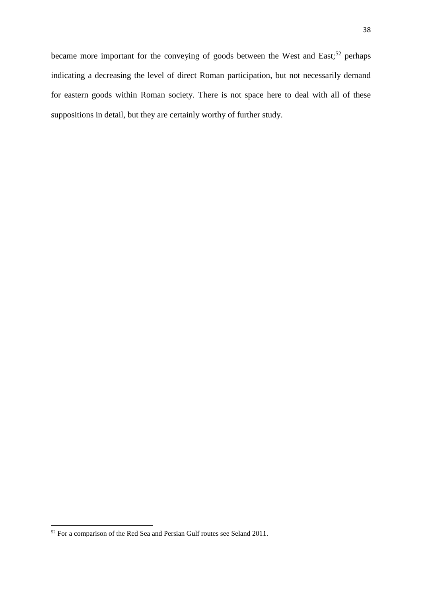for eastern goods within Roman society. There is not space here to deal with all of these suppositions in detail, but they are certainly worthy of further study.

 $52$  For a comparison of the Red Sea and Persian Gulf routes see Seland 2011.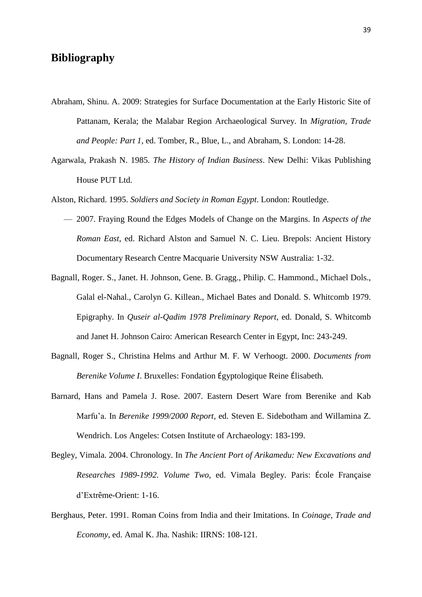# **Bibliography**

- Abraham, Shinu. A. 2009: Strategies for Surface Documentation at the Early Historic Site of Pattanam, Kerala; the Malabar Region Archaeological Survey. In *Migration, Trade and People: Part 1*, ed. Tomber, R., Blue, L., and Abraham, S. London: 14-28.
- Agarwala, Prakash N. 1985. *The History of Indian Business*. New Delhi: Vikas Publishing House PUT Ltd.
- Alston, Richard. 1995. *Soldiers and Society in Roman Egypt*. London: Routledge.
	- 2007. Fraying Round the Edges Models of Change on the Margins. In *Aspects of the Roman East*, ed. Richard Alston and Samuel N. C. Lieu. Brepols: Ancient History Documentary Research Centre Macquarie University NSW Australia: 1-32.
- Bagnall, Roger. S., Janet. H. Johnson, Gene. B. Gragg., Philip. C. Hammond., Michael Dols., Galal el-Nahal., Carolyn G. Killean., Michael Bates and Donald. S. Whitcomb 1979. Epigraphy. In *Quseir al-Qadim 1978 Preliminary Report*, ed. Donald, S. Whitcomb and Janet H. Johnson Cairo: American Research Center in Egypt, Inc: 243-249.
- Bagnall, Roger S., Christina Helms and Arthur M. F. W Verhoogt. 2000. *Documents from Berenike Volume I*. Bruxelles: Fondation Égyptologique Reine Élisabeth.
- Barnard, Hans and Pamela J. Rose. 2007. Eastern Desert Ware from Berenike and Kab Marfu'a. In *Berenike 1999/2000 Report*, ed. Steven E. Sidebotham and Willamina Z. Wendrich. Los Angeles: Cotsen Institute of Archaeology: 183-199.
- Begley, Vimala. 2004. Chronology. In *The Ancient Port of Arikamedu: New Excavations and Researches 1989-1992. Volume Two*, ed. Vimala Begley. Paris: École Française d'Extrême-Orient: 1-16.
- Berghaus, Peter. 1991. Roman Coins from India and their Imitations. In *Coinage, Trade and Economy*, ed. Amal K. Jha. Nashik: IIRNS: 108-121.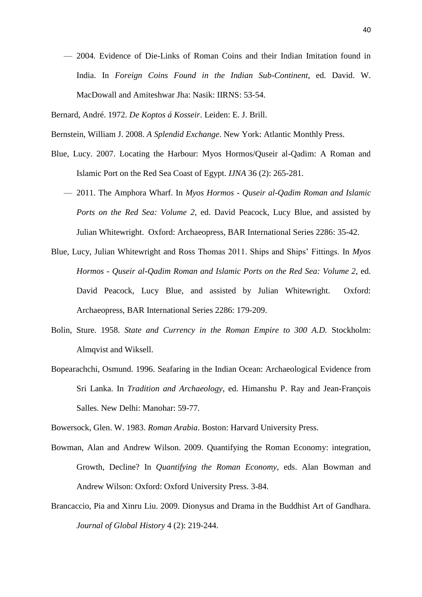- 2004. Evidence of Die-Links of Roman Coins and their Indian Imitation found in India. In *Foreign Coins Found in the Indian Sub-Continent*, ed. David. W. MacDowall and Amiteshwar Jha: Nasik: IIRNS: 53-54.
- Bernard, André. 1972. *De Koptos á Kosseir*. Leiden: E. J. Brill.
- Bernstein, William J. 2008. *A Splendid Exchange*. New York: Atlantic Monthly Press.
- Blue, Lucy. 2007. Locating the Harbour: Myos Hormos/Quseir al-Qadim: A Roman and Islamic Port on the Red Sea Coast of Egypt. *IJNA* 36 (2): 265-281.
	- 2011. The Amphora Wharf. In *Myos Hormos - Quseir al-Qadim Roman and Islamic Ports on the Red Sea: Volume 2*, ed. David Peacock, Lucy Blue, and assisted by Julian Whitewright. Oxford: Archaeopress, BAR International Series 2286: 35-42.
- Blue, Lucy, Julian Whitewright and Ross Thomas 2011. Ships and Ships' Fittings. In *Myos Hormos - Quseir al-Qadim Roman and Islamic Ports on the Red Sea: Volume 2*, ed. David Peacock, Lucy Blue, and assisted by Julian Whitewright. Oxford: Archaeopress, BAR International Series 2286: 179-209.
- Bolin, Sture. 1958. *State and Currency in the Roman Empire to 300 A.D.* Stockholm: Almqvist and Wiksell.
- Bopearachchi, Osmund. 1996. Seafaring in the Indian Ocean: Archaeological Evidence from Sri Lanka. In *Tradition and Archaeology*, ed. Himanshu P. Ray and Jean-François Salles. New Delhi: Manohar: 59-77.

Bowersock, Glen. W. 1983. *Roman Arabia*. Boston: Harvard University Press.

- Bowman, Alan and Andrew Wilson. 2009. Quantifying the Roman Economy: integration, Growth, Decline? In *Quantifying the Roman Economy*, eds. Alan Bowman and Andrew Wilson: Oxford: Oxford University Press. 3-84.
- Brancaccio, Pia and Xinru Liu. 2009. Dionysus and Drama in the Buddhist Art of Gandhara. *Journal of Global History* 4 (2): 219-244.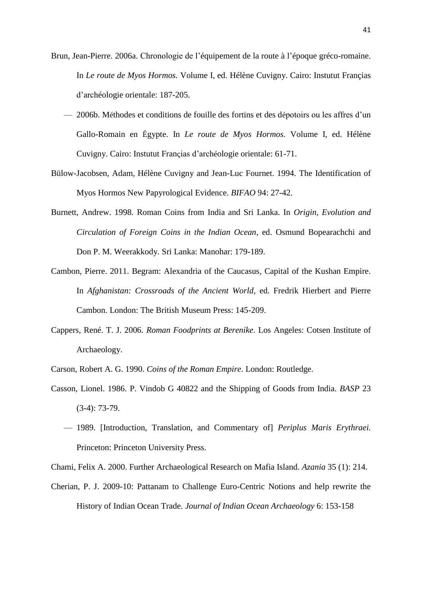- Brun, Jean-Pierre. 2006a. Chronologie de l'équipement de la route à l'époque gréco-romaine. In *Le route de Myos Hormos.* Volume I, ed. Hélène Cuvigny. Cairo: Instutut Françias d'archéologie orientale: 187-205.
	- 2006b. Méthodes et conditions de fouille des fortins et des dépotoirs ou les affres d'un Gallo-Romain en Égypte. In *Le route de Myos Hormos.* Volume I, ed. Hélène Cuvigny. Cairo: Instutut Françias d'archéologie orientale: 61-71.
- Bülow-Jacobsen, Adam, Hélène Cuvigny and Jean-Luc Fournet. 1994. The Identification of Myos Hormos New Papyrological Evidence. *BIFAO* 94: 27-42.
- Burnett, Andrew. 1998. Roman Coins from India and Sri Lanka. In *Origin, Evolution and Circulation of Foreign Coins in the Indian Ocean*, ed. Osmund Bopearachchi and Don P. M. Weerakkody. Sri Lanka: Manohar: 179-189.
- Cambon, Pierre. 2011. Begram: Alexandria of the Caucasus, Capital of the Kushan Empire. In *Afghanistan: Crossroads of the Ancient World*, ed. Fredrik Hierbert and Pierre Cambon. London: The British Museum Press: 145-209.
- Cappers, René. T. J. 2006. *Roman Foodprints at Berenike*. Los Angeles: Cotsen Institute of Archaeology.
- Carson, Robert A. G. 1990. *Coins of the Roman Empire*. London: Routledge.
- Casson, Lionel. 1986. P. Vindob G 40822 and the Shipping of Goods from India. *BASP* 23 (3-4): 73-79.
	- 1989. [Introduction, Translation, and Commentary of] *Periplus Maris Erythraei.*  Princeton: Princeton University Press.
- Chami, Felix A. 2000. Further Archaeological Research on Mafia Island. *Azania* 35 (1): 214.
- Cherian, P. J. 2009-10: Pattanam to Challenge Euro-Centric Notions and help rewrite the History of Indian Ocean Trade. *Journal of Indian Ocean Archaeology* 6: 153-158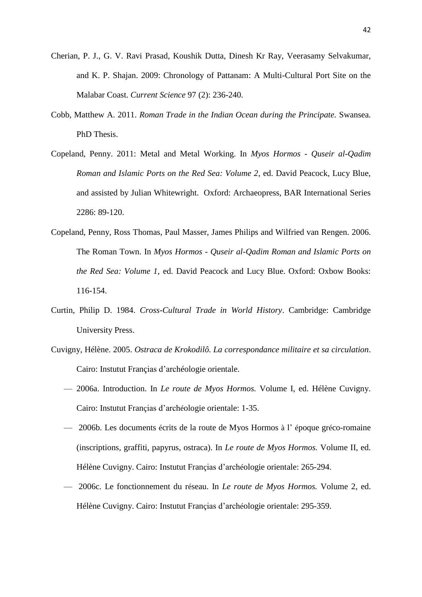- Cherian, P. J., G. V. Ravi Prasad, Koushik Dutta, Dinesh Kr Ray, Veerasamy Selvakumar, and K. P. Shajan. 2009: Chronology of Pattanam: A Multi-Cultural Port Site on the Malabar Coast. *Current Science* 97 (2): 236-240.
- Cobb, Matthew A. 2011. *Roman Trade in the Indian Ocean during the Principate.* Swansea. PhD Thesis.
- Copeland, Penny. 2011: Metal and Metal Working. In *Myos Hormos - Quseir al-Qadim Roman and Islamic Ports on the Red Sea: Volume 2*, ed. David Peacock, Lucy Blue, and assisted by Julian Whitewright. Oxford: Archaeopress, BAR International Series 2286: 89-120.
- Copeland, Penny, Ross Thomas, Paul Masser, James Philips and Wilfried van Rengen. 2006. The Roman Town. In *Myos Hormos - Quseir al-Qadim Roman and Islamic Ports on the Red Sea: Volume 1*, ed. David Peacock and Lucy Blue. Oxford: Oxbow Books: 116-154.
- Curtin, Philip D. 1984. *Cross-Cultural Trade in World History*. Cambridge: Cambridge University Press.
- Cuvigny, Hélène. 2005. *Ostraca de Krokodilô. La correspondance militaire et sa circulation*. Cairo: Instutut Françias d'archéologie orientale.
	- 2006a. Introduction. In *Le route de Myos Hormos.* Volume I, ed. Hélène Cuvigny. Cairo: Instutut Françias d'archéologie orientale: 1-35.
	- 2006b. Les documents écrits de la route de Myos Hormos à l' époque gréco-romaine (inscriptions, graffiti, papyrus, ostraca). In *Le route de Myos Hormos.* Volume II, ed. Hélène Cuvigny. Cairo: Instutut Françias d'archéologie orientale: 265-294.
	- 2006c. Le fonctionnement du réseau. In *Le route de Myos Hormos.* Volume 2, ed. Hélène Cuvigny. Cairo: Instutut Françias d'archéologie orientale: 295-359.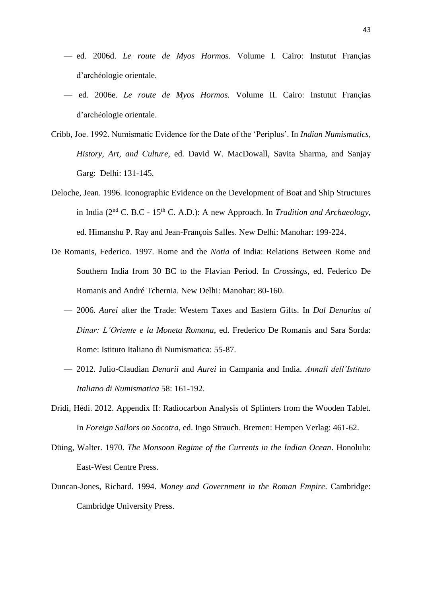- ed. 2006d. *Le route de Myos Hormos.* Volume I. Cairo: Instutut Françias d'archéologie orientale.
- ed. 2006e. *Le route de Myos Hormos.* Volume II. Cairo: Instutut Françias d'archéologie orientale.
- Cribb, Joe. 1992. Numismatic Evidence for the Date of the 'Periplus'. In *Indian Numismatics, History, Art, and Culture*, ed. David W. MacDowall, Savita Sharma, and Sanjay Garg: Delhi: 131-145.
- Deloche, Jean. 1996. Iconographic Evidence on the Development of Boat and Ship Structures in India (2nd C. B.C - 15th C. A.D.): A new Approach. In *Tradition and Archaeology*, ed. Himanshu P. Ray and Jean-François Salles. New Delhi: Manohar: 199-224.
- De Romanis, Federico. 1997. Rome and the *Notia* of India: Relations Between Rome and Southern India from 30 BC to the Flavian Period. In *Crossings*, ed. Federico De Romanis and André Tchernia. New Delhi: Manohar: 80-160.
	- 2006. *Aurei* after the Trade: Western Taxes and Eastern Gifts. In *Dal Denarius al Dinar: L'Oriente e la Moneta Romana*, ed. Frederico De Romanis and Sara Sorda: Rome: Istituto Italiano di Numismatica: 55-87.
	- 2012. Julio-Claudian *Denarii* and *Aurei* in Campania and India. *Annali dell'Istituto Italiano di Numismatica* 58: 161-192.
- Dridi, Hédi. 2012. Appendix II: Radiocarbon Analysis of Splinters from the Wooden Tablet. In *Foreign Sailors on Socotra*, ed. Ingo Strauch. Bremen: Hempen Verlag: 461-62.
- Düing, Walter. 1970. *The Monsoon Regime of the Currents in the Indian Ocean*. Honolulu: East-West Centre Press.
- Duncan-Jones, Richard. 1994. *Money and Government in the Roman Empire*. Cambridge: Cambridge University Press.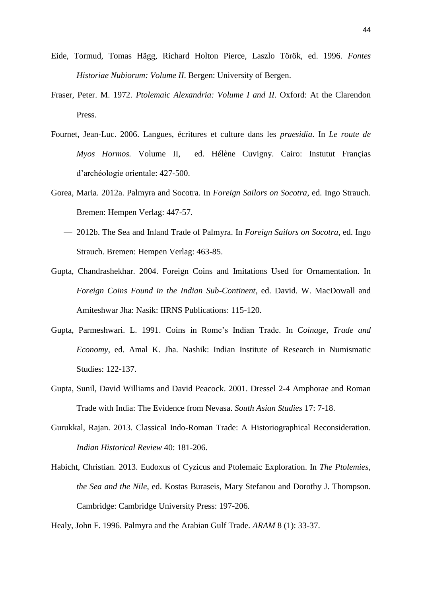- Eide, Tormud, Tomas Hägg, Richard Holton Pierce, Laszlo Török, ed. 1996. *Fontes Historiae Nubiorum: Volume II*. Bergen: University of Bergen.
- Fraser, Peter. M. 1972. *Ptolemaic Alexandria: Volume I and II*. Oxford: At the Clarendon Press.
- Fournet, Jean-Luc. 2006. Langues, écritures et culture dans les *praesidia*. In *Le route de Myos Hormos.* Volume II, ed. Hélène Cuvigny. Cairo: Instutut Françias d'archéologie orientale: 427-500.
- Gorea, Maria. 2012a. Palmyra and Socotra. In *Foreign Sailors on Socotra*, ed. Ingo Strauch. Bremen: Hempen Verlag: 447-57.
	- 2012b. The Sea and Inland Trade of Palmyra. In *Foreign Sailors on Socotra*, ed. Ingo Strauch. Bremen: Hempen Verlag: 463-85.
- Gupta, Chandrashekhar. 2004. Foreign Coins and Imitations Used for Ornamentation. In *Foreign Coins Found in the Indian Sub-Continent*, ed. David. W. MacDowall and Amiteshwar Jha: Nasik: IIRNS Publications: 115-120.
- Gupta, Parmeshwari. L. 1991. Coins in Rome's Indian Trade. In *Coinage, Trade and Economy*, ed. Amal K. Jha. Nashik: Indian Institute of Research in Numismatic Studies: 122-137.
- Gupta, Sunil, David Williams and David Peacock. 2001. Dressel 2-4 Amphorae and Roman Trade with India: The Evidence from Nevasa. *South Asian Studies* 17: 7-18.
- Gurukkal, Rajan. 2013. Classical Indo-Roman Trade: A Historiographical Reconsideration. *Indian Historical Review* 40: 181-206.
- Habicht, Christian. 2013. Eudoxus of Cyzicus and Ptolemaic Exploration. In *The Ptolemies, the Sea and the Nile*, ed. Kostas Buraseis, Mary Stefanou and Dorothy J. Thompson. Cambridge: Cambridge University Press: 197-206.

Healy, John F. 1996. Palmyra and the Arabian Gulf Trade. *ARAM* 8 (1): 33-37.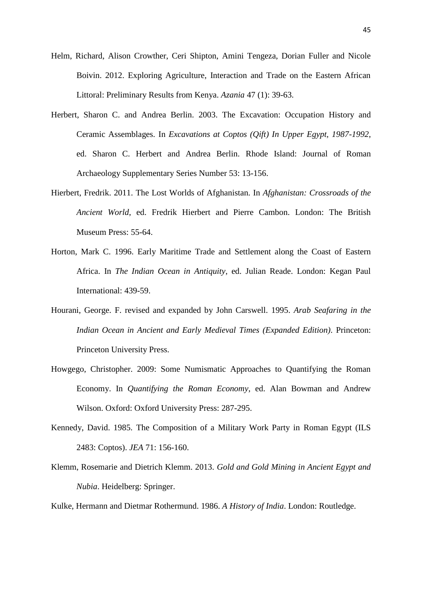- Helm, Richard, Alison Crowther, Ceri Shipton, Amini Tengeza, Dorian Fuller and Nicole Boivin. 2012. Exploring Agriculture, Interaction and Trade on the Eastern African Littoral: Preliminary Results from Kenya. *Azania* 47 (1): 39-63.
- Herbert, Sharon C. and Andrea Berlin. 2003. The Excavation: Occupation History and Ceramic Assemblages. In *Excavations at Coptos (Qift) In Upper Egypt, 1987-1992*, ed. Sharon C. Herbert and Andrea Berlin. Rhode Island: Journal of Roman Archaeology Supplementary Series Number 53: 13-156.
- Hierbert, Fredrik. 2011. The Lost Worlds of Afghanistan. In *Afghanistan: Crossroads of the Ancient World*, ed. Fredrik Hierbert and Pierre Cambon. London: The British Museum Press: 55-64.
- Horton, Mark C. 1996. Early Maritime Trade and Settlement along the Coast of Eastern Africa. In *The Indian Ocean in Antiquity*, ed. Julian Reade. London: Kegan Paul International: 439-59.
- Hourani, George. F. revised and expanded by John Carswell. 1995. *Arab Seafaring in the Indian Ocean in Ancient and Early Medieval Times (Expanded Edition)*. Princeton: Princeton University Press.
- Howgego, Christopher. 2009: Some Numismatic Approaches to Quantifying the Roman Economy. In *Quantifying the Roman Economy*, ed. Alan Bowman and Andrew Wilson. Oxford: Oxford University Press: 287-295.
- Kennedy, David. 1985. The Composition of a Military Work Party in Roman Egypt (ILS 2483: Coptos). *JEA* 71: 156-160.
- Klemm, Rosemarie and Dietrich Klemm. 2013. *Gold and Gold Mining in Ancient Egypt and Nubia*. Heidelberg: Springer.
- Kulke, Hermann and Dietmar Rothermund. 1986. *A History of India*. London: Routledge.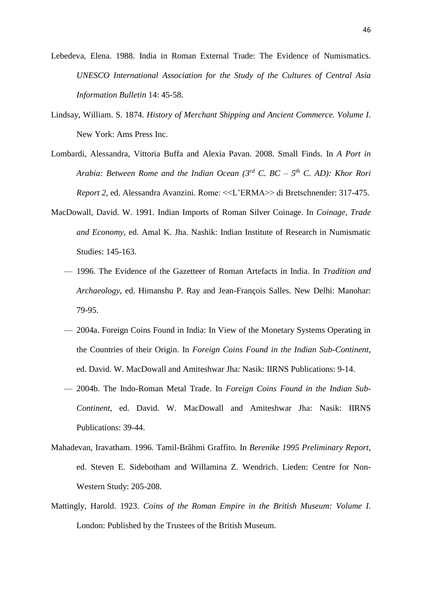Lebedeva, Elena. 1988. India in Roman External Trade: The Evidence of Numismatics. *UNESCO International Association for the Study of the Cultures of Central Asia Information Bulletin* 14: 45-58.

- Lindsay, William. S. 1874. *History of Merchant Shipping and Ancient Commerce. Volume I*. New York: Ams Press Inc.
- Lombardi, Alessandra, Vittoria Buffa and Alexia Pavan. 2008. Small Finds. In *A Port in Arabia: Between Rome and the Indian Ocean (3rd C. BC – 5 th C. AD): Khor Rori Report 2*, ed. Alessandra Avanzini. Rome: <<L'ERMA>> di Bretschnender: 317-475.
- MacDowall, David. W. 1991. Indian Imports of Roman Silver Coinage. In *Coinage, Trade and Economy*, ed. Amal K. Jha. Nashik: Indian Institute of Research in Numismatic Studies: 145-163.
	- 1996. The Evidence of the Gazetteer of Roman Artefacts in India. In *Tradition and Archaeology*, ed. Himanshu P. Ray and Jean-François Salles. New Delhi: Manohar: 79-95.
	- 2004a. Foreign Coins Found in India: In View of the Monetary Systems Operating in the Countries of their Origin. In *Foreign Coins Found in the Indian Sub-Continent*, ed. David. W. MacDowall and Amiteshwar Jha: Nasik: IIRNS Publications: 9-14.
	- 2004b. The Indo-Roman Metal Trade. In *Foreign Coins Found in the Indian Sub-Continent*, ed. David. W. MacDowall and Amiteshwar Jha: Nasik: IIRNS Publications: 39-44.
- Mahadevan, Iravatham. 1996. Tamil-Brãhmi Graffito. In *Berenike 1995 Preliminary Report*, ed. Steven E. Sidebotham and Willamina Z. Wendrich. Lieden: Centre for Non-Western Study: 205-208.
- Mattingly, Harold. 1923. *Coins of the Roman Empire in the British Museum: Volume I*. London: Published by the Trustees of the British Museum.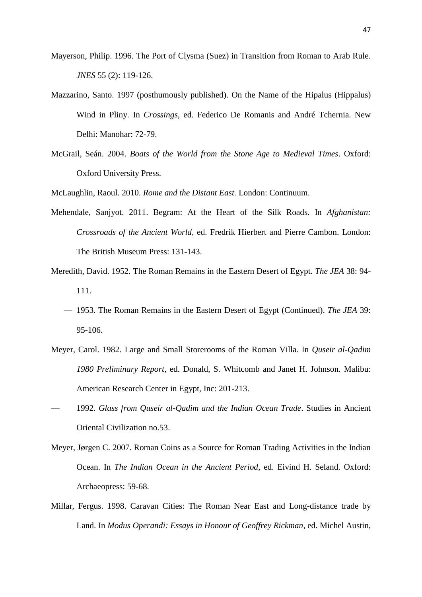- Mayerson, Philip. 1996. The Port of Clysma (Suez) in Transition from Roman to Arab Rule. *JNES* 55 (2): 119-126.
- Mazzarino, Santo. 1997 (posthumously published). On the Name of the Hipalus (Hippalus) Wind in Pliny. In *Crossings*, ed. Federico De Romanis and André Tchernia. New Delhi: Manohar: 72-79.
- McGrail, Seán. 2004. *Boats of the World from the Stone Age to Medieval Times*. Oxford: Oxford University Press.
- McLaughlin, Raoul. 2010. *Rome and the Distant East.* London: Continuum.
- Mehendale, Sanjyot. 2011. Begram: At the Heart of the Silk Roads. In *Afghanistan: Crossroads of the Ancient World*, ed. Fredrik Hierbert and Pierre Cambon. London: The British Museum Press: 131-143.
- Meredith, David. 1952. The Roman Remains in the Eastern Desert of Egypt. *The JEA* 38: 94- 111.
	- 1953. The Roman Remains in the Eastern Desert of Egypt (Continued). *The JEA* 39: 95-106.
- Meyer, Carol. 1982. Large and Small Storerooms of the Roman Villa. In *Quseir al-Qadim 1980 Preliminary Report*, ed. Donald, S. Whitcomb and Janet H. Johnson. Malibu: American Research Center in Egypt, Inc: 201-213.
- 1992. *Glass from Quseir al-Qadim and the Indian Ocean Trade*. Studies in Ancient Oriental Civilization no.53.
- Meyer, Jørgen C. 2007. Roman Coins as a Source for Roman Trading Activities in the Indian Ocean. In *The Indian Ocean in the Ancient Period*, ed. Eivind H. Seland. Oxford: Archaeopress: 59-68.
- Millar, Fergus. 1998. Caravan Cities: The Roman Near East and Long-distance trade by Land. In *Modus Operandi: Essays in Honour of Geoffrey Rickman*, ed. Michel Austin,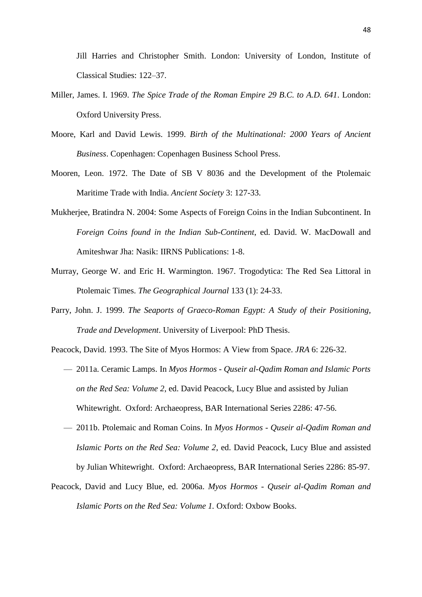Jill Harries and Christopher Smith. London: University of London, Institute of Classical Studies: 122–37.

- Miller, James. I. 1969. *The Spice Trade of the Roman Empire 29 B.C. to A.D. 641*. London: Oxford University Press.
- Moore, Karl and David Lewis. 1999. *Birth of the Multinational: 2000 Years of Ancient Business*. Copenhagen: Copenhagen Business School Press.
- Mooren, Leon. 1972. The Date of SB V 8036 and the Development of the Ptolemaic Maritime Trade with India. *Ancient Society* 3: 127-33.
- Mukherjee, Bratindra N. 2004: Some Aspects of Foreign Coins in the Indian Subcontinent. In *Foreign Coins found in the Indian Sub-Continent*, ed. David. W. MacDowall and Amiteshwar Jha: Nasik: IIRNS Publications: 1-8.
- Murray, George W. and Eric H. Warmington. 1967. Trogodytica: The Red Sea Littoral in Ptolemaic Times. *The Geographical Journal* 133 (1): 24-33.
- Parry, John. J. 1999. *The Seaports of Graeco-Roman Egypt: A Study of their Positioning, Trade and Development*. University of Liverpool: PhD Thesis.
- Peacock, David. 1993. The Site of Myos Hormos: A View from Space. *JRA* 6: 226-32.
	- 2011a. Ceramic Lamps. In *Myos Hormos - Quseir al-Qadim Roman and Islamic Ports on the Red Sea: Volume 2*, ed. David Peacock, Lucy Blue and assisted by Julian Whitewright. Oxford: Archaeopress, BAR International Series 2286: 47-56.
	- 2011b. Ptolemaic and Roman Coins. In *Myos Hormos - Quseir al-Qadim Roman and Islamic Ports on the Red Sea: Volume 2*, ed. David Peacock, Lucy Blue and assisted by Julian Whitewright. Oxford: Archaeopress, BAR International Series 2286: 85-97.
- Peacock, David and Lucy Blue, ed. 2006a. *Myos Hormos - Quseir al-Qadim Roman and Islamic Ports on the Red Sea: Volume 1.* Oxford: Oxbow Books.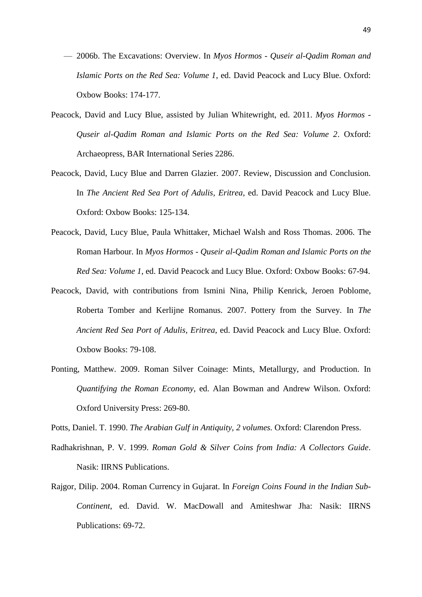- 2006b. The Excavations: Overview. In *Myos Hormos - Quseir al-Qadim Roman and Islamic Ports on the Red Sea: Volume 1*, ed. David Peacock and Lucy Blue. Oxford: Oxbow Books: 174-177.
- Peacock, David and Lucy Blue, assisted by Julian Whitewright, ed. 2011. *Myos Hormos - Quseir al-Qadim Roman and Islamic Ports on the Red Sea: Volume 2*. Oxford: Archaeopress, BAR International Series 2286.
- Peacock, David, Lucy Blue and Darren Glazier. 2007. Review, Discussion and Conclusion. In *The Ancient Red Sea Port of Adulis, Eritrea*, ed. David Peacock and Lucy Blue. Oxford: Oxbow Books: 125-134.
- Peacock, David, Lucy Blue, Paula Whittaker, Michael Walsh and Ross Thomas. 2006. The Roman Harbour. In *Myos Hormos - Quseir al-Qadim Roman and Islamic Ports on the Red Sea: Volume 1*, ed. David Peacock and Lucy Blue. Oxford: Oxbow Books: 67-94.
- Peacock, David, with contributions from Ismini Nina, Philip Kenrick, Jeroen Poblome, Roberta Tomber and Kerlijne Romanus. 2007. Pottery from the Survey. In *The Ancient Red Sea Port of Adulis, Eritrea*, ed. David Peacock and Lucy Blue. Oxford: Oxbow Books: 79-108.
- Ponting, Matthew. 2009. Roman Silver Coinage: Mints, Metallurgy, and Production. In *Quantifying the Roman Economy*, ed. Alan Bowman and Andrew Wilson. Oxford: Oxford University Press: 269-80.

Potts, Daniel. T. 1990. *The Arabian Gulf in Antiquity, 2 volumes.* Oxford: Clarendon Press.

- Radhakrishnan, P. V. 1999. *Roman Gold & Silver Coins from India: A Collectors Guide*. Nasik: IIRNS Publications.
- Rajgor, Dilip. 2004. Roman Currency in Gujarat. In *Foreign Coins Found in the Indian Sub-Continent*, ed. David. W. MacDowall and Amiteshwar Jha: Nasik: IIRNS Publications: 69-72.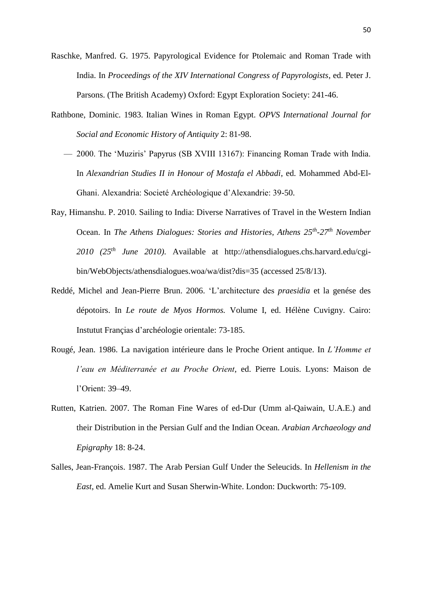- Raschke, Manfred. G. 1975. Papyrological Evidence for Ptolemaic and Roman Trade with India. In *Proceedings of the XIV International Congress of Papyrologists*, ed. Peter J. Parsons. (The British Academy) Oxford: Egypt Exploration Society: 241-46.
- Rathbone, Dominic. 1983. Italian Wines in Roman Egypt. *OPVS International Journal for Social and Economic History of Antiquity* 2: 81-98.
	- 2000. The 'Muziris' Papyrus (SB XVIII 13167): Financing Roman Trade with India. In *Alexandrian Studies II in Honour of Mostafa el Abbadi*, ed. Mohammed Abd-El-Ghani. Alexandria: Societé Archéologique d'Alexandrie: 39-50.
- Ray, Himanshu. P. 2010. Sailing to India: Diverse Narratives of Travel in the Western Indian Ocean. In *The Athens Dialogues: Stories and Histories, Athens 25th -27th November 2010 (25th June 2010)*. Available at http://athensdialogues.chs.harvard.edu/cgibin/WebObjects/athensdialogues.woa/wa/dist?dis=35 (accessed 25/8/13).
- Reddé, Michel and Jean-Pierre Brun. 2006. 'L'architecture des *praesidia* et la genése des dépotoirs. In *Le route de Myos Hormos.* Volume I, ed. Hélène Cuvigny. Cairo: Instutut Françias d'archéologie orientale: 73-185.
- Rougé, Jean. 1986. La navigation intérieure dans le Proche Orient antique. In *L'Homme et l'eau en Méditerranée et au Proche Orient*, ed. Pierre Louis. Lyons: Maison de l'Orient: 39–49.
- Rutten, Katrien. 2007. The Roman Fine Wares of ed-Dur (Umm al-Qaiwain, U.A.E.) and their Distribution in the Persian Gulf and the Indian Ocean. *Arabian Archaeology and Epigraphy* 18: 8-24.
- Salles, Jean-François. 1987. The Arab Persian Gulf Under the Seleucids. In *Hellenism in the East*, ed. Amelie Kurt and Susan Sherwin-White. London: Duckworth: 75-109.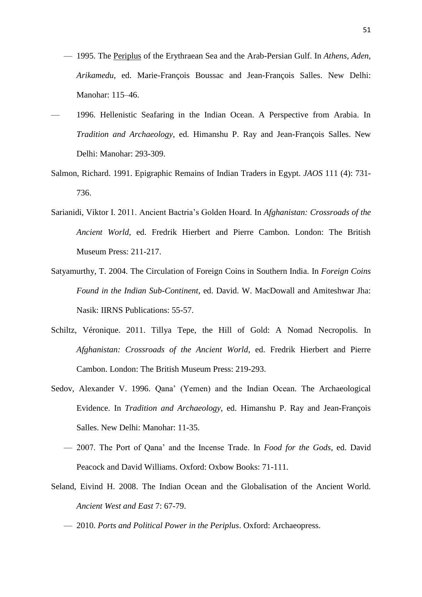- 1995. The Periplus of the Erythraean Sea and the Arab-Persian Gulf. In *Athens, Aden, Arikamedu*, ed. Marie-François Boussac and Jean-François Salles. New Delhi: Manohar: 115–46.
- 1996. Hellenistic Seafaring in the Indian Ocean. A Perspective from Arabia. In *Tradition and Archaeology*, ed. Himanshu P. Ray and Jean-François Salles. New Delhi: Manohar: 293-309.
- Salmon, Richard. 1991. Epigraphic Remains of Indian Traders in Egypt. *JAOS* 111 (4): 731- 736.
- Sarianidi, Viktor I. 2011. Ancient Bactria's Golden Hoard. In *Afghanistan: Crossroads of the Ancient World*, ed. Fredrik Hierbert and Pierre Cambon. London: The British Museum Press: 211-217.
- Satyamurthy, T. 2004. The Circulation of Foreign Coins in Southern India. In *Foreign Coins Found in the Indian Sub-Continent*, ed. David. W. MacDowall and Amiteshwar Jha: Nasik: IIRNS Publications: 55-57.
- Schiltz, Véronique. 2011. Tillya Tepe, the Hill of Gold: A Nomad Necropolis. In *Afghanistan: Crossroads of the Ancient World*, ed. Fredrik Hierbert and Pierre Cambon. London: The British Museum Press: 219-293.
- Sedov, Alexander V. 1996. Qana' (Yemen) and the Indian Ocean. The Archaeological Evidence. In *Tradition and Archaeology*, ed. Himanshu P. Ray and Jean-François Salles. New Delhi: Manohar: 11-35.
	- 2007. The Port of Qana' and the Incense Trade. In *Food for the Gods*, ed. David Peacock and David Williams. Oxford: Oxbow Books: 71-111.
- Seland, Eivind H. 2008. The Indian Ocean and the Globalisation of the Ancient World. *Ancient West and East* 7: 67-79.
	- 2010. *Ports and Political Power in the Periplus*. Oxford: Archaeopress.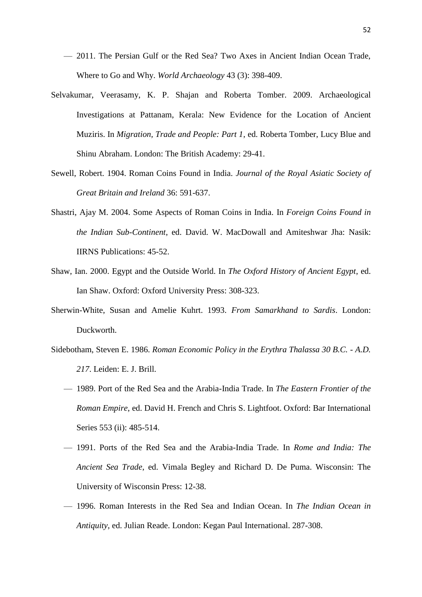- 2011. The Persian Gulf or the Red Sea? Two Axes in Ancient Indian Ocean Trade, Where to Go and Why. *World Archaeology* 43 (3): 398-409.
- Selvakumar, Veerasamy, K. P. Shajan and Roberta Tomber. 2009. Archaeological Investigations at Pattanam, Kerala: New Evidence for the Location of Ancient Muziris. In *Migration, Trade and People: Part 1*, ed. Roberta Tomber, Lucy Blue and Shinu Abraham. London: The British Academy: 29-41.
- Sewell, Robert. 1904. Roman Coins Found in India. *Journal of the Royal Asiatic Society of Great Britain and Ireland* 36: 591-637.
- Shastri, Ajay M. 2004. Some Aspects of Roman Coins in India. In *Foreign Coins Found in the Indian Sub-Continent*, ed. David. W. MacDowall and Amiteshwar Jha: Nasik: IIRNS Publications: 45-52.
- Shaw, Ian. 2000. Egypt and the Outside World. In *The Oxford History of Ancient Egypt*, ed. Ian Shaw. Oxford: Oxford University Press: 308-323.
- Sherwin-White, Susan and Amelie Kuhrt. 1993. *From Samarkhand to Sardis*. London: Duckworth.
- Sidebotham, Steven E. 1986. *Roman Economic Policy in the Erythra Thalassa 30 B.C. - A.D. 217*. Leiden: E. J. Brill.
	- 1989. Port of the Red Sea and the Arabia-India Trade. In *The Eastern Frontier of the Roman Empire*, ed. David H. French and Chris S. Lightfoot. Oxford: Bar International Series 553 (ii): 485-514.
	- 1991. Ports of the Red Sea and the Arabia-India Trade. In *Rome and India: The Ancient Sea Trade*, ed. Vimala Begley and Richard D. De Puma. Wisconsin: The University of Wisconsin Press: 12-38.
	- 1996. Roman Interests in the Red Sea and Indian Ocean. In *The Indian Ocean in Antiquity*, ed. Julian Reade. London: Kegan Paul International. 287-308.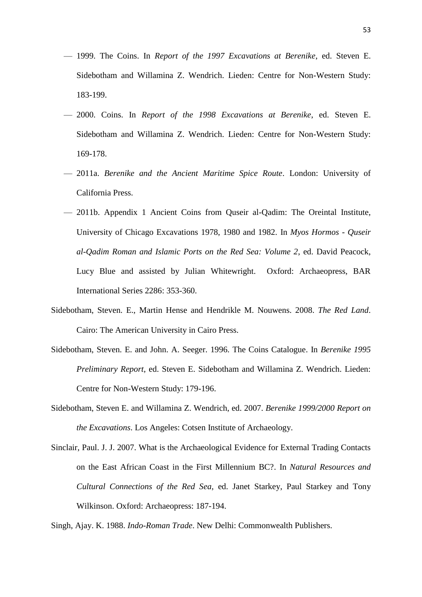- 1999. The Coins. In *Report of the 1997 Excavations at Berenike*, ed. Steven E. Sidebotham and Willamina Z. Wendrich. Lieden: Centre for Non-Western Study: 183-199.
- 2000. Coins. In *Report of the 1998 Excavations at Berenike*, ed. Steven E. Sidebotham and Willamina Z. Wendrich. Lieden: Centre for Non-Western Study: 169-178.
- 2011a. *Berenike and the Ancient Maritime Spice Route*. London: University of California Press.
- 2011b. Appendix 1 Ancient Coins from Quseir al-Qadim: The Oreintal Institute, University of Chicago Excavations 1978, 1980 and 1982. In *Myos Hormos - Quseir al-Qadim Roman and Islamic Ports on the Red Sea: Volume 2*, ed. David Peacock, Lucy Blue and assisted by Julian Whitewright. Oxford: Archaeopress, BAR International Series 2286: 353-360.
- Sidebotham, Steven. E., Martin Hense and Hendrikle M. Nouwens. 2008. *The Red Land*. Cairo: The American University in Cairo Press.
- Sidebotham, Steven. E. and John. A. Seeger. 1996. The Coins Catalogue. In *Berenike 1995 Preliminary Report*, ed. Steven E. Sidebotham and Willamina Z. Wendrich. Lieden: Centre for Non-Western Study: 179-196.
- Sidebotham, Steven E. and Willamina Z. Wendrich, ed. 2007. *Berenike 1999/2000 Report on the Excavations*. Los Angeles: Cotsen Institute of Archaeology.
- Sinclair, Paul. J. J. 2007. What is the Archaeological Evidence for External Trading Contacts on the East African Coast in the First Millennium BC?. In *Natural Resources and Cultural Connections of the Red Sea*, ed. Janet Starkey, Paul Starkey and Tony Wilkinson. Oxford: Archaeopress: 187-194.

Singh, Ajay. K. 1988. *Indo-Roman Trade*. New Delhi: Commonwealth Publishers.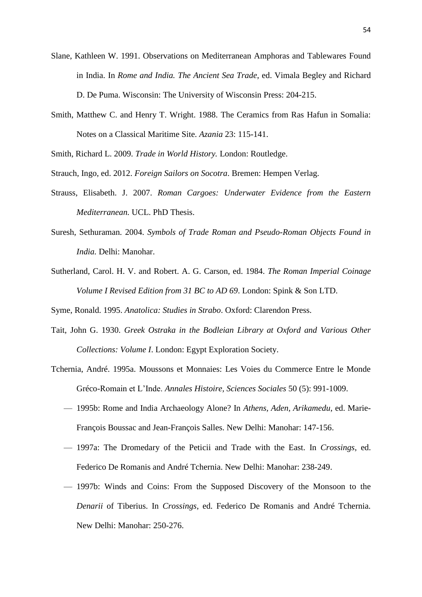- Slane, Kathleen W. 1991. Observations on Mediterranean Amphoras and Tablewares Found in India. In *Rome and India. The Ancient Sea Trade*, ed. Vimala Begley and Richard D. De Puma. Wisconsin: The University of Wisconsin Press: 204-215.
- Smith, Matthew C. and Henry T. Wright. 1988. The Ceramics from Ras Hafun in Somalia: Notes on a Classical Maritime Site. *Azania* 23: 115-141.

Smith, Richard L. 2009. *Trade in World History.* London: Routledge.

Strauch, Ingo, ed. 2012. *Foreign Sailors on Socotra*. Bremen: Hempen Verlag.

- Strauss, Elisabeth. J. 2007. *Roman Cargoes: Underwater Evidence from the Eastern Mediterranean.* UCL. PhD Thesis.
- Suresh, Sethuraman. 2004. *Symbols of Trade Roman and Pseudo-Roman Objects Found in India.* Delhi: Manohar.
- Sutherland, Carol. H. V. and Robert. A. G. Carson, ed. 1984. *The Roman Imperial Coinage Volume I Revised Edition from 31 BC to AD 69*. London: Spink & Son LTD.

Syme, Ronald. 1995. *Anatolica: Studies in Strabo*. Oxford: Clarendon Press.

- Tait, John G. 1930. *Greek Ostraka in the Bodleian Library at Oxford and Various Other Collections: Volume I*. London: Egypt Exploration Society.
- Tchernia, André. 1995a. Moussons et Monnaies: Les Voies du Commerce Entre le Monde Gréco-Romain et L'Inde. *Annales Histoire, Sciences Sociales* 50 (5): 991-1009.
	- 1995b: Rome and India Archaeology Alone? In *Athens, Aden, Arikamedu*, ed. Marie-François Boussac and Jean-François Salles. New Delhi: Manohar: 147-156.
	- 1997a: The Dromedary of the Peticii and Trade with the East. In *Crossings*, ed. Federico De Romanis and André Tchernia. New Delhi: Manohar: 238-249.
	- 1997b: Winds and Coins: From the Supposed Discovery of the Monsoon to the *Denarii* of Tiberius. In *Crossings*, ed. Federico De Romanis and André Tchernia. New Delhi: Manohar: 250-276.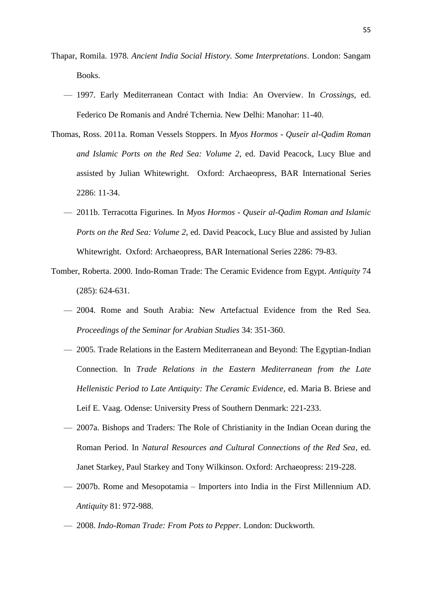- Thapar, Romila. 1978. *Ancient India Social History. Some Interpretations*. London: Sangam Books.
	- 1997. Early Mediterranean Contact with India: An Overview. In *Crossings*, ed. Federico De Romanis and André Tchernia. New Delhi: Manohar: 11-40.
- Thomas, Ross. 2011a. Roman Vessels Stoppers. In *Myos Hormos - Quseir al-Qadim Roman and Islamic Ports on the Red Sea: Volume 2*, ed. David Peacock, Lucy Blue and assisted by Julian Whitewright. Oxford: Archaeopress, BAR International Series 2286: 11-34.
	- 2011b. Terracotta Figurines. In *Myos Hormos - Quseir al-Qadim Roman and Islamic Ports on the Red Sea: Volume 2*, ed. David Peacock, Lucy Blue and assisted by Julian Whitewright. Oxford: Archaeopress, BAR International Series 2286: 79-83.
- Tomber, Roberta. 2000. Indo-Roman Trade: The Ceramic Evidence from Egypt. *Antiquity* 74 (285): 624-631.
	- 2004. Rome and South Arabia: New Artefactual Evidence from the Red Sea. *Proceedings of the Seminar for Arabian Studies* 34: 351-360.
	- 2005. Trade Relations in the Eastern Mediterranean and Beyond: The Egyptian-Indian Connection. In *Trade Relations in the Eastern Mediterranean from the Late Hellenistic Period to Late Antiquity: The Ceramic Evidence*, ed. Maria B. Briese and Leif E. Vaag. Odense: University Press of Southern Denmark: 221-233.
	- 2007a. Bishops and Traders: The Role of Christianity in the Indian Ocean during the Roman Period. In *Natural Resources and Cultural Connections of the Red Sea*, ed. Janet Starkey, Paul Starkey and Tony Wilkinson. Oxford: Archaeopress: 219-228.
	- 2007b. Rome and Mesopotamia Importers into India in the First Millennium AD. *Antiquity* 81: 972-988.
	- 2008. *Indo-Roman Trade: From Pots to Pepper.* London: Duckworth.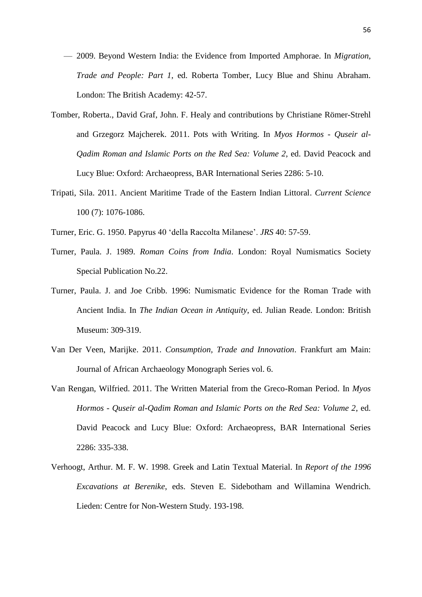- 2009. Beyond Western India: the Evidence from Imported Amphorae. In *Migration, Trade and People: Part 1*, ed. Roberta Tomber, Lucy Blue and Shinu Abraham. London: The British Academy: 42-57.
- Tomber, Roberta., David Graf, John. F. Healy and contributions by Christiane Römer-Strehl and Grzegorz Majcherek. 2011. Pots with Writing. In *Myos Hormos - Quseir al-Qadim Roman and Islamic Ports on the Red Sea: Volume 2*, ed. David Peacock and Lucy Blue: Oxford: Archaeopress, BAR International Series 2286: 5-10.
- Tripati, Sila. 2011. Ancient Maritime Trade of the Eastern Indian Littoral. *Current Science*  100 (7): 1076-1086.
- Turner, Eric. G. 1950. Papyrus 40 'della Raccolta Milanese'. *JRS* 40: 57-59.
- Turner, Paula. J. 1989. *Roman Coins from India*. London: Royal Numismatics Society Special Publication No.22.
- Turner, Paula. J. and Joe Cribb. 1996: Numismatic Evidence for the Roman Trade with Ancient India. In *The Indian Ocean in Antiquity*, ed. Julian Reade. London: British Museum: 309-319.
- Van Der Veen, Marijke. 2011. *Consumption, Trade and Innovation*. Frankfurt am Main: Journal of African Archaeology Monograph Series vol. 6.
- Van Rengan, Wilfried. 2011. The Written Material from the Greco-Roman Period. In *Myos Hormos - Quseir al-Qadim Roman and Islamic Ports on the Red Sea: Volume 2*, ed. David Peacock and Lucy Blue: Oxford: Archaeopress, BAR International Series 2286: 335-338.
- Verhoogt, Arthur. M. F. W. 1998. Greek and Latin Textual Material. In *Report of the 1996 Excavations at Berenike*, eds. Steven E. Sidebotham and Willamina Wendrich. Lieden: Centre for Non-Western Study. 193-198.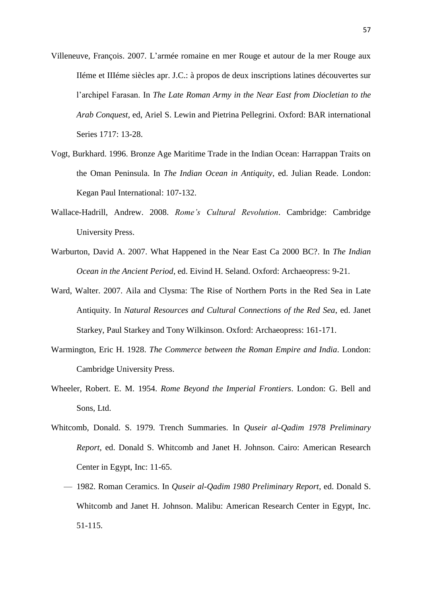- Villeneuve, François. 2007. L'armée romaine en mer Rouge et autour de la mer Rouge aux IIéme et IIIéme siècles apr. J.C.: à propos de deux inscriptions latines découvertes sur l'archipel Farasan. In *The Late Roman Army in the Near East from Diocletian to the Arab Conquest*, ed, Ariel S. Lewin and Pietrina Pellegrini. Oxford: BAR international Series 1717: 13-28.
- Vogt, Burkhard. 1996. Bronze Age Maritime Trade in the Indian Ocean: Harrappan Traits on the Oman Peninsula. In *The Indian Ocean in Antiquity*, ed. Julian Reade. London: Kegan Paul International: 107-132.
- Wallace-Hadrill, Andrew. 2008. *Rome's Cultural Revolution*. Cambridge: Cambridge University Press.
- Warburton, David A. 2007. What Happened in the Near East Ca 2000 BC?. In *The Indian Ocean in the Ancient Period*, ed. Eivind H. Seland. Oxford: Archaeopress: 9-21.
- Ward, Walter. 2007. Aila and Clysma: The Rise of Northern Ports in the Red Sea in Late Antiquity. In *Natural Resources and Cultural Connections of the Red Sea*, ed. Janet Starkey, Paul Starkey and Tony Wilkinson. Oxford: Archaeopress: 161-171.
- Warmington, Eric H. 1928. *The Commerce between the Roman Empire and India*. London: Cambridge University Press.
- Wheeler, Robert. E. M. 1954. *Rome Beyond the Imperial Frontiers*. London: G. Bell and Sons, Ltd.
- Whitcomb, Donald. S. 1979. Trench Summaries. In *Quseir al-Qadim 1978 Preliminary Report*, ed. Donald S. Whitcomb and Janet H. Johnson. Cairo: American Research Center in Egypt, Inc: 11-65.
	- 1982. Roman Ceramics. In *Quseir al-Qadim 1980 Preliminary Report*, ed. Donald S. Whitcomb and Janet H. Johnson. Malibu: American Research Center in Egypt, Inc. 51-115.